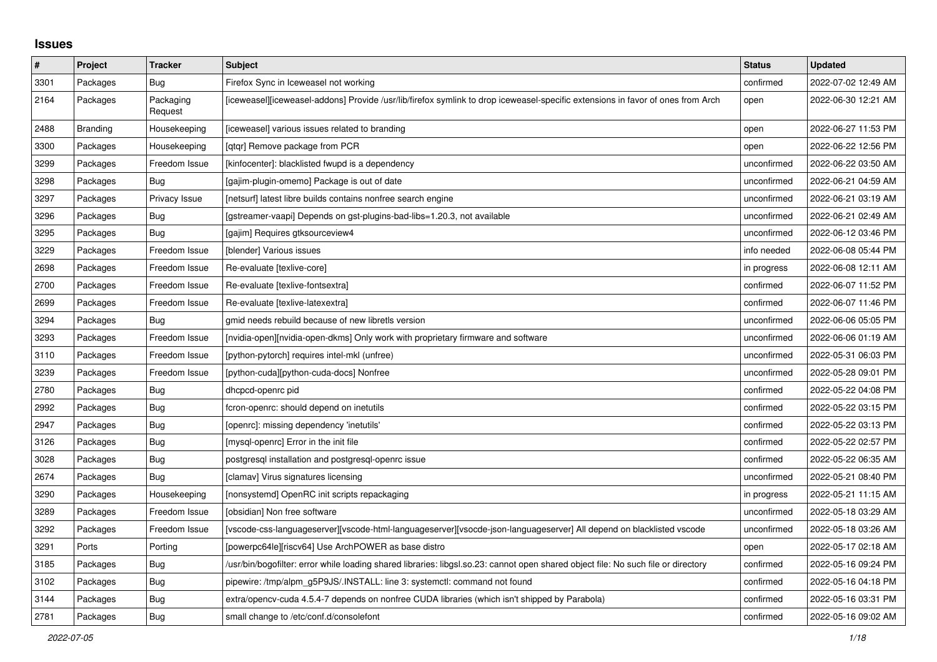## **Issues**

| #    | Project         | <b>Tracker</b>       | <b>Subject</b>                                                                                                                     | <b>Status</b> | <b>Updated</b>      |
|------|-----------------|----------------------|------------------------------------------------------------------------------------------------------------------------------------|---------------|---------------------|
| 3301 | Packages        | Bug                  | Firefox Sync in Iceweasel not working                                                                                              | confirmed     | 2022-07-02 12:49 AM |
| 2164 | Packages        | Packaging<br>Request | [iceweasel][iceweasel-addons] Provide /usr/lib/firefox symlink to drop iceweasel-specific extensions in favor of ones from Arch    | open          | 2022-06-30 12:21 AM |
| 2488 | <b>Branding</b> | Housekeeping         | [iceweasel] various issues related to branding                                                                                     | open          | 2022-06-27 11:53 PM |
| 3300 | Packages        | Housekeeping         | [gtgr] Remove package from PCR                                                                                                     | open          | 2022-06-22 12:56 PM |
| 3299 | Packages        | Freedom Issue        | [kinfocenter]: blacklisted fwupd is a dependency                                                                                   | unconfirmed   | 2022-06-22 03:50 AM |
| 3298 | Packages        | Bug                  | [gajim-plugin-omemo] Package is out of date                                                                                        | unconfirmed   | 2022-06-21 04:59 AM |
| 3297 | Packages        | Privacy Issue        | [netsurf] latest libre builds contains nonfree search engine                                                                       | unconfirmed   | 2022-06-21 03:19 AM |
| 3296 | Packages        | Bug                  | [gstreamer-vaapi] Depends on gst-plugins-bad-libs=1.20.3, not available                                                            | unconfirmed   | 2022-06-21 02:49 AM |
| 3295 | Packages        | Bug                  | [gajim] Requires gtksourceview4                                                                                                    | unconfirmed   | 2022-06-12 03:46 PM |
| 3229 | Packages        | Freedom Issue        | [blender] Various issues                                                                                                           | info needed   | 2022-06-08 05:44 PM |
| 2698 | Packages        | Freedom Issue        | Re-evaluate [texlive-core]                                                                                                         | in progress   | 2022-06-08 12:11 AM |
| 2700 | Packages        | Freedom Issue        | Re-evaluate [texlive-fontsextra]                                                                                                   | confirmed     | 2022-06-07 11:52 PM |
| 2699 | Packages        | Freedom Issue        | Re-evaluate [texlive-latexextra]                                                                                                   | confirmed     | 2022-06-07 11:46 PM |
| 3294 | Packages        | <b>Bug</b>           | gmid needs rebuild because of new libretls version                                                                                 | unconfirmed   | 2022-06-06 05:05 PM |
| 3293 | Packages        | Freedom Issue        | [nvidia-open][nvidia-open-dkms] Only work with proprietary firmware and software                                                   | unconfirmed   | 2022-06-06 01:19 AM |
| 3110 | Packages        | Freedom Issue        | [python-pytorch] requires intel-mkl (unfree)                                                                                       | unconfirmed   | 2022-05-31 06:03 PM |
| 3239 | Packages        | Freedom Issue        | [python-cuda][python-cuda-docs] Nonfree                                                                                            | unconfirmed   | 2022-05-28 09:01 PM |
| 2780 | Packages        | Bug                  | dhcpcd-openrc pid                                                                                                                  | confirmed     | 2022-05-22 04:08 PM |
| 2992 | Packages        | Bug                  | fcron-openrc: should depend on inetutils                                                                                           | confirmed     | 2022-05-22 03:15 PM |
| 2947 | Packages        | Bug                  | [openrc]: missing dependency 'inetutils'                                                                                           | confirmed     | 2022-05-22 03:13 PM |
| 3126 | Packages        | <b>Bug</b>           | [mysql-openrc] Error in the init file                                                                                              | confirmed     | 2022-05-22 02:57 PM |
| 3028 | Packages        | <b>Bug</b>           | postgresgl installation and postgresgl-openrc issue                                                                                | confirmed     | 2022-05-22 06:35 AM |
| 2674 | Packages        | Bug                  | [clamav] Virus signatures licensing                                                                                                | unconfirmed   | 2022-05-21 08:40 PM |
| 3290 | Packages        | Housekeeping         | [nonsystemd] OpenRC init scripts repackaging                                                                                       | in progress   | 2022-05-21 11:15 AM |
| 3289 | Packages        | Freedom Issue        | [obsidian] Non free software                                                                                                       | unconfirmed   | 2022-05-18 03:29 AM |
| 3292 | Packages        | Freedom Issue        | [vscode-css-languageserver][vscode-html-languageserver][vsocde-json-languageserver] All depend on blacklisted vscode               | unconfirmed   | 2022-05-18 03:26 AM |
| 3291 | Ports           | Porting              | [powerpc64le][riscv64] Use ArchPOWER as base distro                                                                                | open          | 2022-05-17 02:18 AM |
| 3185 | Packages        | <b>Bug</b>           | /usr/bin/bogofilter: error while loading shared libraries: libgsl.so.23: cannot open shared object file: No such file or directory | confirmed     | 2022-05-16 09:24 PM |
| 3102 | Packages        | <b>Bug</b>           | pipewire: /tmp/alpm_g5P9JS/.INSTALL: line 3: systemctl: command not found                                                          | confirmed     | 2022-05-16 04:18 PM |
| 3144 | Packages        | Bug                  | extra/opencv-cuda 4.5.4-7 depends on nonfree CUDA libraries (which isn't shipped by Parabola)                                      | confirmed     | 2022-05-16 03:31 PM |
| 2781 | Packages        | Bug                  | small change to /etc/conf.d/consolefont                                                                                            | confirmed     | 2022-05-16 09:02 AM |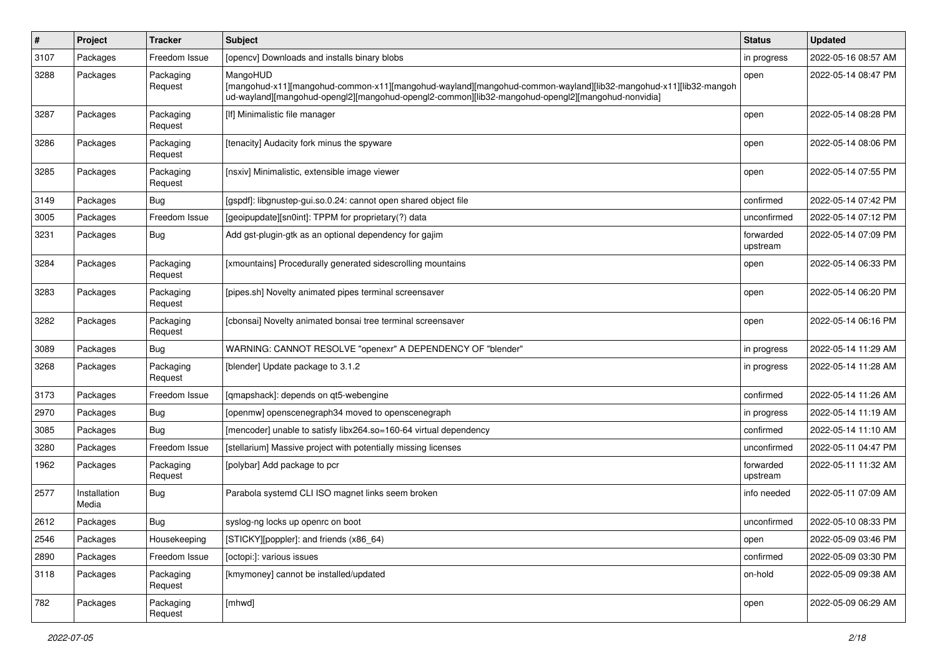| $\#$ | Project               | <b>Tracker</b>       | Subject                                                                                                                                                                                                                          | <b>Status</b>         | <b>Updated</b>      |
|------|-----------------------|----------------------|----------------------------------------------------------------------------------------------------------------------------------------------------------------------------------------------------------------------------------|-----------------------|---------------------|
| 3107 | Packages              | Freedom Issue        | [opency] Downloads and installs binary blobs                                                                                                                                                                                     | in progress           | 2022-05-16 08:57 AM |
| 3288 | Packages              | Packaging<br>Request | MangoHUD<br>[mangohud-x11][mangohud-common-x11][mangohud-wayland][mangohud-common-wayland][lib32-mangohud-x11][lib32-mangoh<br>ud-wayland][mangohud-opengl2][mangohud-opengl2-common][lib32-mangohud-opengl2][mangohud-nonvidia] | open                  | 2022-05-14 08:47 PM |
| 3287 | Packages              | Packaging<br>Request | [If] Minimalistic file manager                                                                                                                                                                                                   | open                  | 2022-05-14 08:28 PM |
| 3286 | Packages              | Packaging<br>Request | [tenacity] Audacity fork minus the spyware                                                                                                                                                                                       | open                  | 2022-05-14 08:06 PM |
| 3285 | Packages              | Packaging<br>Request | [nsxiv] Minimalistic, extensible image viewer                                                                                                                                                                                    | open                  | 2022-05-14 07:55 PM |
| 3149 | Packages              | Bug                  | [gspdf]: libgnustep-gui.so.0.24: cannot open shared object file                                                                                                                                                                  | confirmed             | 2022-05-14 07:42 PM |
| 3005 | Packages              | Freedom Issue        | [geoipupdate][sn0int]: TPPM for proprietary(?) data                                                                                                                                                                              | unconfirmed           | 2022-05-14 07:12 PM |
| 3231 | Packages              | Bug                  | Add gst-plugin-gtk as an optional dependency for gajim                                                                                                                                                                           | forwarded<br>upstream | 2022-05-14 07:09 PM |
| 3284 | Packages              | Packaging<br>Request | [xmountains] Procedurally generated sidescrolling mountains                                                                                                                                                                      | open                  | 2022-05-14 06:33 PM |
| 3283 | Packages              | Packaging<br>Request | [pipes.sh] Novelty animated pipes terminal screensaver                                                                                                                                                                           | open                  | 2022-05-14 06:20 PM |
| 3282 | Packages              | Packaging<br>Request | [cbonsai] Novelty animated bonsai tree terminal screensaver                                                                                                                                                                      | open                  | 2022-05-14 06:16 PM |
| 3089 | Packages              | Bug                  | WARNING: CANNOT RESOLVE "openexr" A DEPENDENCY OF "blender"                                                                                                                                                                      | in progress           | 2022-05-14 11:29 AM |
| 3268 | Packages              | Packaging<br>Request | [blender] Update package to 3.1.2                                                                                                                                                                                                | in progress           | 2022-05-14 11:28 AM |
| 3173 | Packages              | Freedom Issue        | [qmapshack]: depends on qt5-webengine                                                                                                                                                                                            | confirmed             | 2022-05-14 11:26 AM |
| 2970 | Packages              | Bug                  | [openmw] openscenegraph34 moved to openscenegraph                                                                                                                                                                                | in progress           | 2022-05-14 11:19 AM |
| 3085 | Packages              | Bug                  | [mencoder] unable to satisfy libx264.so=160-64 virtual dependency                                                                                                                                                                | confirmed             | 2022-05-14 11:10 AM |
| 3280 | Packages              | Freedom Issue        | [stellarium] Massive project with potentially missing licenses                                                                                                                                                                   | unconfirmed           | 2022-05-11 04:47 PM |
| 1962 | Packages              | Packaging<br>Request | [polybar] Add package to pcr                                                                                                                                                                                                     | forwarded<br>upstream | 2022-05-11 11:32 AM |
| 2577 | Installation<br>Media | Bug                  | Parabola systemd CLI ISO magnet links seem broken                                                                                                                                                                                | info needed           | 2022-05-11 07:09 AM |
| 2612 | Packages              | Bug                  | syslog-ng locks up openrc on boot                                                                                                                                                                                                | unconfirmed           | 2022-05-10 08:33 PM |
| 2546 | Packages              | Housekeeping         | [STICKY][poppler]: and friends (x86_64)                                                                                                                                                                                          | open                  | 2022-05-09 03:46 PM |
| 2890 | Packages              | Freedom Issue        | [octopi:]: various issues                                                                                                                                                                                                        | confirmed             | 2022-05-09 03:30 PM |
| 3118 | Packages              | Packaging<br>Request | [kmymoney] cannot be installed/updated                                                                                                                                                                                           | on-hold               | 2022-05-09 09:38 AM |
| 782  | Packages              | Packaging<br>Request | [mhwd]                                                                                                                                                                                                                           | open                  | 2022-05-09 06:29 AM |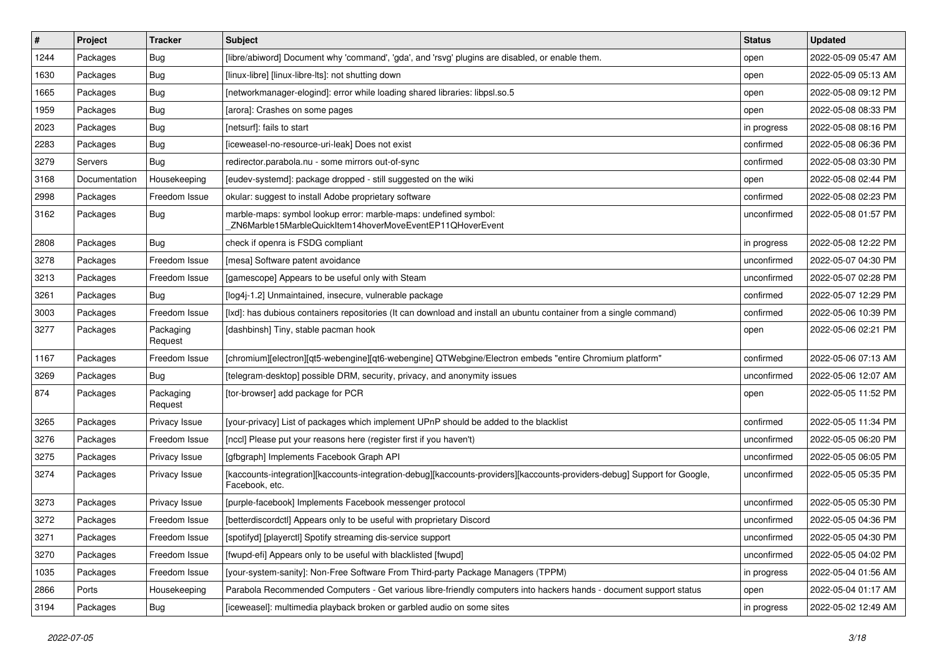| $\#$ | Project       | <b>Tracker</b>       | <b>Subject</b>                                                                                                                             | <b>Status</b> | <b>Updated</b>      |
|------|---------------|----------------------|--------------------------------------------------------------------------------------------------------------------------------------------|---------------|---------------------|
| 1244 | Packages      | <b>Bug</b>           | [libre/abiword] Document why 'command', 'gda', and 'rsvg' plugins are disabled, or enable them.                                            | open          | 2022-05-09 05:47 AM |
| 1630 | Packages      | Bug                  | [linux-libre] [linux-libre-lts]: not shutting down                                                                                         | open          | 2022-05-09 05:13 AM |
| 1665 | Packages      | <b>Bug</b>           | [networkmanager-elogind]: error while loading shared libraries: libpsl.so.5                                                                | open          | 2022-05-08 09:12 PM |
| 1959 | Packages      | <b>Bug</b>           | [arora]: Crashes on some pages                                                                                                             | open          | 2022-05-08 08:33 PM |
| 2023 | Packages      | <b>Bug</b>           | [netsurf]: fails to start                                                                                                                  | in progress   | 2022-05-08 08:16 PM |
| 2283 | Packages      | <b>Bug</b>           | [iceweasel-no-resource-uri-leak] Does not exist                                                                                            | confirmed     | 2022-05-08 06:36 PM |
| 3279 | Servers       | Bug                  | redirector.parabola.nu - some mirrors out-of-sync                                                                                          | confirmed     | 2022-05-08 03:30 PM |
| 3168 | Documentation | Housekeeping         | [eudev-systemd]: package dropped - still suggested on the wiki                                                                             | open          | 2022-05-08 02:44 PM |
| 2998 | Packages      | Freedom Issue        | okular: suggest to install Adobe proprietary software                                                                                      | confirmed     | 2022-05-08 02:23 PM |
| 3162 | Packages      | Bug                  | marble-maps: symbol lookup error: marble-maps: undefined symbol:<br>ZN6Marble15MarbleQuickItem14hoverMoveEventEP11QHoverEvent              | unconfirmed   | 2022-05-08 01:57 PM |
| 2808 | Packages      | <b>Bug</b>           | check if openra is FSDG compliant                                                                                                          | in progress   | 2022-05-08 12:22 PM |
| 3278 | Packages      | Freedom Issue        | [mesa] Software patent avoidance                                                                                                           | unconfirmed   | 2022-05-07 04:30 PM |
| 3213 | Packages      | Freedom Issue        | [gamescope] Appears to be useful only with Steam                                                                                           | unconfirmed   | 2022-05-07 02:28 PM |
| 3261 | Packages      | <b>Bug</b>           | [log4j-1.2] Unmaintained, insecure, vulnerable package                                                                                     | confirmed     | 2022-05-07 12:29 PM |
| 3003 | Packages      | Freedom Issue        | [lxd]: has dubious containers repositories (It can download and install an ubuntu container from a single command)                         | confirmed     | 2022-05-06 10:39 PM |
| 3277 | Packages      | Packaging<br>Request | [dashbinsh] Tiny, stable pacman hook                                                                                                       | open          | 2022-05-06 02:21 PM |
| 1167 | Packages      | Freedom Issue        | [chromium][electron][qt5-webengine][qt6-webengine] QTWebgine/Electron embeds "entire Chromium platform"                                    | confirmed     | 2022-05-06 07:13 AM |
| 3269 | Packages      | Bug                  | [telegram-desktop] possible DRM, security, privacy, and anonymity issues                                                                   | unconfirmed   | 2022-05-06 12:07 AM |
| 874  | Packages      | Packaging<br>Request | [tor-browser] add package for PCR                                                                                                          | open          | 2022-05-05 11:52 PM |
| 3265 | Packages      | Privacy Issue        | [your-privacy] List of packages which implement UPnP should be added to the blacklist                                                      | confirmed     | 2022-05-05 11:34 PM |
| 3276 | Packages      | Freedom Issue        | [nccl] Please put your reasons here (register first if you haven't)                                                                        | unconfirmed   | 2022-05-05 06:20 PM |
| 3275 | Packages      | Privacy Issue        | [gfbgraph] Implements Facebook Graph API                                                                                                   | unconfirmed   | 2022-05-05 06:05 PM |
| 3274 | Packages      | Privacy Issue        | [kaccounts-integration][kaccounts-integration-debug][kaccounts-providers][kaccounts-providers-debug] Support for Google,<br>Facebook, etc. | unconfirmed   | 2022-05-05 05:35 PM |
| 3273 | Packages      | Privacy Issue        | [purple-facebook] Implements Facebook messenger protocol                                                                                   | unconfirmed   | 2022-05-05 05:30 PM |
| 3272 | Packages      | Freedom Issue        | [betterdiscordctl] Appears only to be useful with proprietary Discord                                                                      | unconfirmed   | 2022-05-05 04:36 PM |
| 3271 | Packages      | Freedom Issue        | [spotifyd] [playerctl] Spotify streaming dis-service support                                                                               | unconfirmed   | 2022-05-05 04:30 PM |
| 3270 | Packages      | Freedom Issue        | [fwupd-efi] Appears only to be useful with blacklisted [fwupd]                                                                             | unconfirmed   | 2022-05-05 04:02 PM |
| 1035 | Packages      | Freedom Issue        | [your-system-sanity]: Non-Free Software From Third-party Package Managers (TPPM)                                                           | in progress   | 2022-05-04 01:56 AM |
| 2866 | Ports         | Housekeeping         | Parabola Recommended Computers - Get various libre-friendly computers into hackers hands - document support status                         | open          | 2022-05-04 01:17 AM |
| 3194 | Packages      | Bug                  | [iceweasel]: multimedia playback broken or garbled audio on some sites                                                                     | in progress   | 2022-05-02 12:49 AM |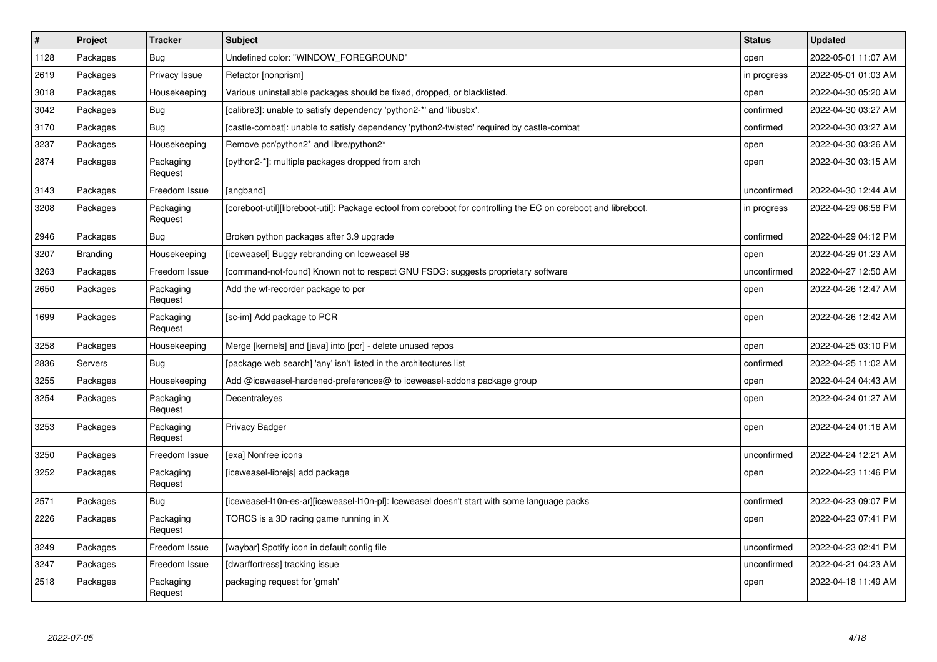| $\#$ | Project         | <b>Tracker</b>       | <b>Subject</b>                                                                                                  | <b>Status</b> | <b>Updated</b>      |
|------|-----------------|----------------------|-----------------------------------------------------------------------------------------------------------------|---------------|---------------------|
| 1128 | Packages        | <b>Bug</b>           | Undefined color: "WINDOW FOREGROUND"                                                                            | open          | 2022-05-01 11:07 AM |
| 2619 | Packages        | Privacy Issue        | Refactor [nonprism]                                                                                             | in progress   | 2022-05-01 01:03 AM |
| 3018 | Packages        | Housekeeping         | Various uninstallable packages should be fixed, dropped, or blacklisted.                                        | open          | 2022-04-30 05:20 AM |
| 3042 | Packages        | Bug                  | [calibre3]: unable to satisfy dependency 'python2-*' and 'libusbx'.                                             | confirmed     | 2022-04-30 03:27 AM |
| 3170 | Packages        | Bug                  | [castle-combat]: unable to satisfy dependency 'python2-twisted' required by castle-combat                       | confirmed     | 2022-04-30 03:27 AM |
| 3237 | Packages        | Housekeeping         | Remove pcr/python2* and libre/python2*                                                                          | open          | 2022-04-30 03:26 AM |
| 2874 | Packages        | Packaging<br>Request | [python2-*]: multiple packages dropped from arch                                                                | open          | 2022-04-30 03:15 AM |
| 3143 | Packages        | Freedom Issue        | [angband]                                                                                                       | unconfirmed   | 2022-04-30 12:44 AM |
| 3208 | Packages        | Packaging<br>Request | [coreboot-util][libreboot-util]: Package ectool from coreboot for controlling the EC on coreboot and libreboot. | in progress   | 2022-04-29 06:58 PM |
| 2946 | Packages        | Bug                  | Broken python packages after 3.9 upgrade                                                                        | confirmed     | 2022-04-29 04:12 PM |
| 3207 | <b>Branding</b> | Housekeeping         | ficeweasel] Buggy rebranding on Iceweasel 98                                                                    | open          | 2022-04-29 01:23 AM |
| 3263 | Packages        | Freedom Issue        | [command-not-found] Known not to respect GNU FSDG: suggests proprietary software                                | unconfirmed   | 2022-04-27 12:50 AM |
| 2650 | Packages        | Packaging<br>Request | Add the wf-recorder package to pcr                                                                              | open          | 2022-04-26 12:47 AM |
| 1699 | Packages        | Packaging<br>Request | [sc-im] Add package to PCR                                                                                      | open          | 2022-04-26 12:42 AM |
| 3258 | Packages        | Housekeeping         | Merge [kernels] and [java] into [pcr] - delete unused repos                                                     | open          | 2022-04-25 03:10 PM |
| 2836 | Servers         | Bug                  | [package web search] 'any' isn't listed in the architectures list                                               | confirmed     | 2022-04-25 11:02 AM |
| 3255 | Packages        | Housekeeping         | Add @iceweasel-hardened-preferences@ to iceweasel-addons package group                                          | open          | 2022-04-24 04:43 AM |
| 3254 | Packages        | Packaging<br>Request | Decentraleyes                                                                                                   | open          | 2022-04-24 01:27 AM |
| 3253 | Packages        | Packaging<br>Request | <b>Privacy Badger</b>                                                                                           | open          | 2022-04-24 01:16 AM |
| 3250 | Packages        | Freedom Issue        | [exa] Nonfree icons                                                                                             | unconfirmed   | 2022-04-24 12:21 AM |
| 3252 | Packages        | Packaging<br>Request | [iceweasel-librejs] add package                                                                                 | open          | 2022-04-23 11:46 PM |
| 2571 | Packages        | Bug                  | [iceweasel-l10n-es-ar][iceweasel-l10n-pl]: Iceweasel doesn't start with some language packs                     | confirmed     | 2022-04-23 09:07 PM |
| 2226 | Packages        | Packaging<br>Request | TORCS is a 3D racing game running in X                                                                          | open          | 2022-04-23 07:41 PM |
| 3249 | Packages        | Freedom Issue        | [waybar] Spotify icon in default config file                                                                    | unconfirmed   | 2022-04-23 02:41 PM |
| 3247 | Packages        | Freedom Issue        | [dwarffortress] tracking issue                                                                                  | unconfirmed   | 2022-04-21 04:23 AM |
| 2518 | Packages        | Packaging<br>Request | packaging request for 'gmsh'                                                                                    | open          | 2022-04-18 11:49 AM |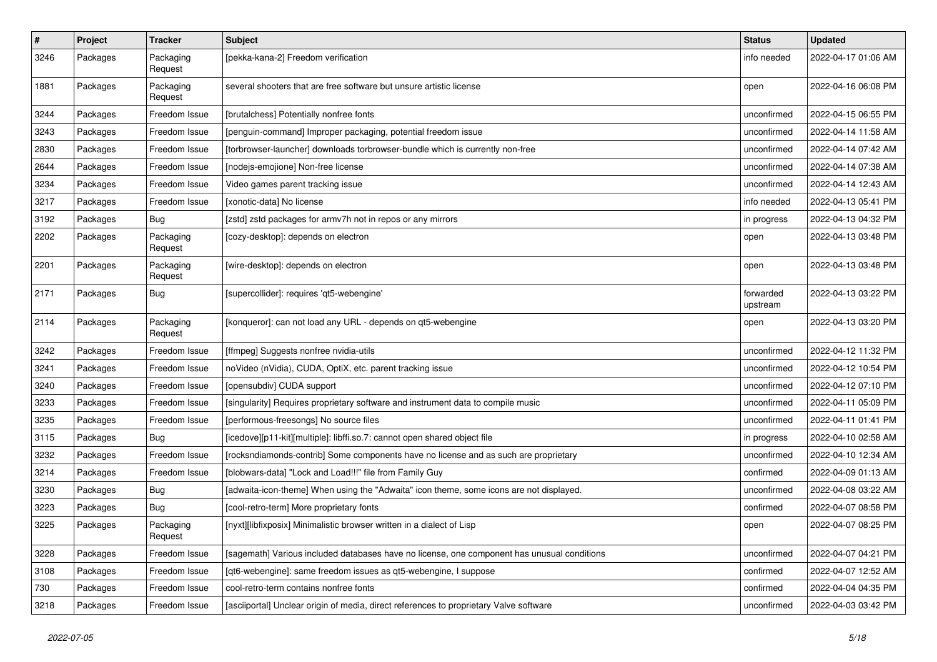| #    | Project  | <b>Tracker</b>       | <b>Subject</b>                                                                              | <b>Status</b>         | <b>Updated</b>      |
|------|----------|----------------------|---------------------------------------------------------------------------------------------|-----------------------|---------------------|
| 3246 | Packages | Packaging<br>Request | [pekka-kana-2] Freedom verification                                                         | info needed           | 2022-04-17 01:06 AM |
| 1881 | Packages | Packaging<br>Request | several shooters that are free software but unsure artistic license                         | open                  | 2022-04-16 06:08 PM |
| 3244 | Packages | Freedom Issue        | [brutalchess] Potentially nonfree fonts                                                     | unconfirmed           | 2022-04-15 06:55 PM |
| 3243 | Packages | Freedom Issue        | [penguin-command] Improper packaging, potential freedom issue                               | unconfirmed           | 2022-04-14 11:58 AM |
| 2830 | Packages | Freedom Issue        | [torbrowser-launcher] downloads torbrowser-bundle which is currently non-free               | unconfirmed           | 2022-04-14 07:42 AM |
| 2644 | Packages | Freedom Issue        | [nodejs-emojione] Non-free license                                                          | unconfirmed           | 2022-04-14 07:38 AM |
| 3234 | Packages | Freedom Issue        | Video games parent tracking issue                                                           | unconfirmed           | 2022-04-14 12:43 AM |
| 3217 | Packages | Freedom Issue        | [xonotic-data] No license                                                                   | info needed           | 2022-04-13 05:41 PM |
| 3192 | Packages | Bug                  | [zstd] zstd packages for armv7h not in repos or any mirrors                                 | in progress           | 2022-04-13 04:32 PM |
| 2202 | Packages | Packaging<br>Request | [cozy-desktop]: depends on electron                                                         | open                  | 2022-04-13 03:48 PM |
| 2201 | Packages | Packaging<br>Request | [wire-desktop]: depends on electron                                                         | open                  | 2022-04-13 03:48 PM |
| 2171 | Packages | Bug                  | [supercollider]: requires 'qt5-webengine'                                                   | forwarded<br>upstream | 2022-04-13 03:22 PM |
| 2114 | Packages | Packaging<br>Request | [konqueror]: can not load any URL - depends on qt5-webengine                                | open                  | 2022-04-13 03:20 PM |
| 3242 | Packages | Freedom Issue        | [ffmpeg] Suggests nonfree nvidia-utils                                                      | unconfirmed           | 2022-04-12 11:32 PM |
| 3241 | Packages | Freedom Issue        | noVideo (nVidia), CUDA, OptiX, etc. parent tracking issue                                   | unconfirmed           | 2022-04-12 10:54 PM |
| 3240 | Packages | Freedom Issue        | [opensubdiv] CUDA support                                                                   | unconfirmed           | 2022-04-12 07:10 PM |
| 3233 | Packages | Freedom Issue        | [singularity] Requires proprietary software and instrument data to compile music            | unconfirmed           | 2022-04-11 05:09 PM |
| 3235 | Packages | Freedom Issue        | [performous-freesongs] No source files                                                      | unconfirmed           | 2022-04-11 01:41 PM |
| 3115 | Packages | Bug                  | [icedove][p11-kit][multiple]: libffi.so.7: cannot open shared object file                   | in progress           | 2022-04-10 02:58 AM |
| 3232 | Packages | Freedom Issue        | [rocksndiamonds-contrib] Some components have no license and as such are proprietary        | unconfirmed           | 2022-04-10 12:34 AM |
| 3214 | Packages | Freedom Issue        | [blobwars-data] "Lock and Load!!!" file from Family Guy                                     | confirmed             | 2022-04-09 01:13 AM |
| 3230 | Packages | Bug                  | [adwaita-icon-theme] When using the "Adwaita" icon theme, some icons are not displayed.     | unconfirmed           | 2022-04-08 03:22 AM |
| 3223 | Packages | Bug                  | [cool-retro-term] More proprietary fonts                                                    | confirmed             | 2022-04-07 08:58 PM |
| 3225 | Packages | Packaging<br>Request | [nyxt][libfixposix] Minimalistic browser written in a dialect of Lisp                       | open                  | 2022-04-07 08:25 PM |
| 3228 | Packages | Freedom Issue        | [sagemath] Various included databases have no license, one component has unusual conditions | unconfirmed           | 2022-04-07 04:21 PM |
| 3108 | Packages | Freedom Issue        | [qt6-webengine]: same freedom issues as qt5-webengine, I suppose                            | confirmed             | 2022-04-07 12:52 AM |
| 730  | Packages | Freedom Issue        | cool-retro-term contains nonfree fonts                                                      | confirmed             | 2022-04-04 04:35 PM |
| 3218 | Packages | Freedom Issue        | [asciiportal] Unclear origin of media, direct references to proprietary Valve software      | unconfirmed           | 2022-04-03 03:42 PM |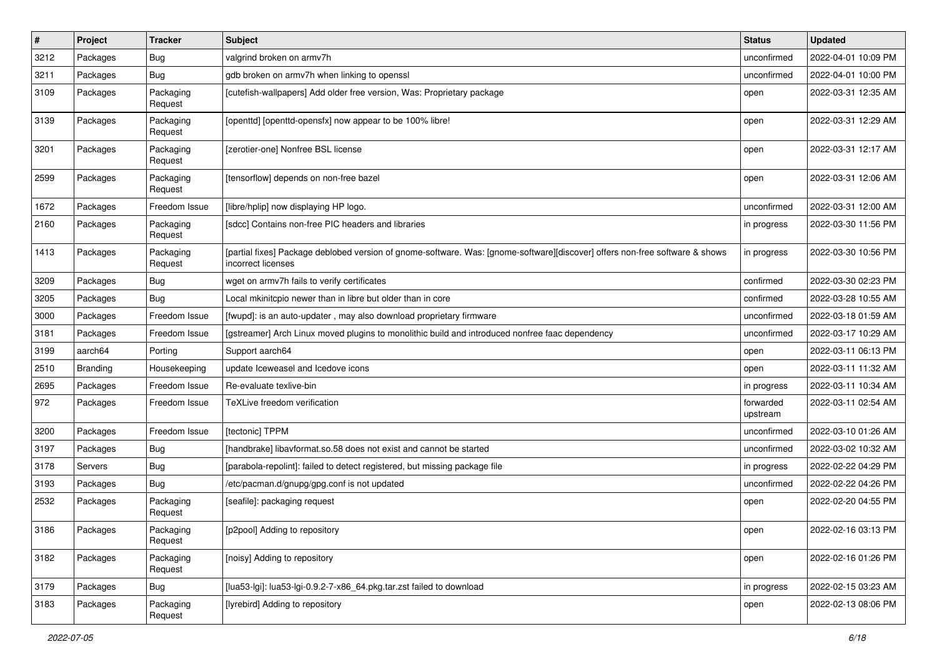| $\sharp$ | Project        | <b>Tracker</b>       | Subject                                                                                                                                            | <b>Status</b>         | <b>Updated</b>      |
|----------|----------------|----------------------|----------------------------------------------------------------------------------------------------------------------------------------------------|-----------------------|---------------------|
| 3212     | Packages       | Bug                  | valgrind broken on armv7h                                                                                                                          | unconfirmed           | 2022-04-01 10:09 PM |
| 3211     | Packages       | Bug                  | gdb broken on armv7h when linking to openssl                                                                                                       | unconfirmed           | 2022-04-01 10:00 PM |
| 3109     | Packages       | Packaging<br>Request | [cutefish-wallpapers] Add older free version, Was: Proprietary package                                                                             | open                  | 2022-03-31 12:35 AM |
| 3139     | Packages       | Packaging<br>Request | [openttd] [openttd-opensfx] now appear to be 100% libre!                                                                                           | open                  | 2022-03-31 12:29 AM |
| 3201     | Packages       | Packaging<br>Request | [zerotier-one] Nonfree BSL license                                                                                                                 | open                  | 2022-03-31 12:17 AM |
| 2599     | Packages       | Packaging<br>Request | [tensorflow] depends on non-free bazel                                                                                                             | open                  | 2022-03-31 12:06 AM |
| 1672     | Packages       | Freedom Issue        | [libre/hplip] now displaying HP logo.                                                                                                              | unconfirmed           | 2022-03-31 12:00 AM |
| 2160     | Packages       | Packaging<br>Request | [sdcc] Contains non-free PIC headers and libraries                                                                                                 | in progress           | 2022-03-30 11:56 PM |
| 1413     | Packages       | Packaging<br>Request | [partial fixes] Package deblobed version of gnome-software. Was: [gnome-software][discover] offers non-free software & shows<br>incorrect licenses | in progress           | 2022-03-30 10:56 PM |
| 3209     | Packages       | Bug                  | wget on armv7h fails to verify certificates                                                                                                        | confirmed             | 2022-03-30 02:23 PM |
| 3205     | Packages       | Bug                  | Local mkinitcpio newer than in libre but older than in core                                                                                        | confirmed             | 2022-03-28 10:55 AM |
| 3000     | Packages       | Freedom Issue        | [fwupd]: is an auto-updater, may also download proprietary firmware                                                                                | unconfirmed           | 2022-03-18 01:59 AM |
| 3181     | Packages       | Freedom Issue        | [gstreamer] Arch Linux moved plugins to monolithic build and introduced nonfree faac dependency                                                    | unconfirmed           | 2022-03-17 10:29 AM |
| 3199     | aarch64        | Porting              | Support aarch64                                                                                                                                    | open                  | 2022-03-11 06:13 PM |
| 2510     | Branding       | Housekeeping         | update Iceweasel and Icedove icons                                                                                                                 | open                  | 2022-03-11 11:32 AM |
| 2695     | Packages       | Freedom Issue        | Re-evaluate texlive-bin                                                                                                                            | in progress           | 2022-03-11 10:34 AM |
| 972      | Packages       | Freedom Issue        | TeXLive freedom verification                                                                                                                       | forwarded<br>upstream | 2022-03-11 02:54 AM |
| 3200     | Packages       | Freedom Issue        | [tectonic] TPPM                                                                                                                                    | unconfirmed           | 2022-03-10 01:26 AM |
| 3197     | Packages       | <b>Bug</b>           | [handbrake] libavformat.so.58 does not exist and cannot be started                                                                                 | unconfirmed           | 2022-03-02 10:32 AM |
| 3178     | <b>Servers</b> | Bug                  | [parabola-repolint]: failed to detect registered, but missing package file                                                                         | in progress           | 2022-02-22 04:29 PM |
| 3193     | Packages       | <b>Bug</b>           | /etc/pacman.d/gnupg/gpg.conf is not updated                                                                                                        | unconfirmed           | 2022-02-22 04:26 PM |
| 2532     | Packages       | Packaging<br>Request | [seafile]: packaging request                                                                                                                       | open                  | 2022-02-20 04:55 PM |
| 3186     | Packages       | Packaging<br>Request | [p2pool] Adding to repository                                                                                                                      | open                  | 2022-02-16 03:13 PM |
| 3182     | Packages       | Packaging<br>Request | [noisy] Adding to repository                                                                                                                       | open                  | 2022-02-16 01:26 PM |
| 3179     | Packages       | <b>Bug</b>           | [lua53-lgi]: lua53-lgi-0.9.2-7-x86_64.pkg.tar.zst failed to download                                                                               | in progress           | 2022-02-15 03:23 AM |
| 3183     | Packages       | Packaging<br>Request | [lyrebird] Adding to repository                                                                                                                    | open                  | 2022-02-13 08:06 PM |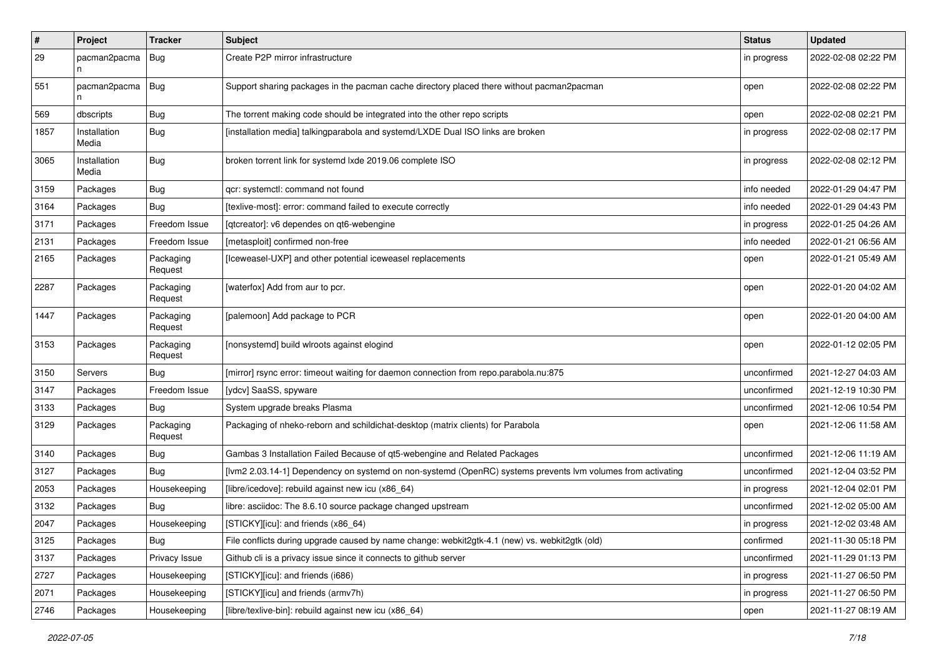| #    | Project               | <b>Tracker</b>       | <b>Subject</b>                                                                                              | <b>Status</b> | <b>Updated</b>      |
|------|-----------------------|----------------------|-------------------------------------------------------------------------------------------------------------|---------------|---------------------|
| 29   | pacman2pacma          | <b>Bug</b>           | Create P2P mirror infrastructure                                                                            | in progress   | 2022-02-08 02:22 PM |
| 551  | pacman2pacma   Bug    |                      | Support sharing packages in the pacman cache directory placed there without pacman2pacman                   | open          | 2022-02-08 02:22 PM |
| 569  | dbscripts             | Bug                  | The torrent making code should be integrated into the other repo scripts                                    | open          | 2022-02-08 02:21 PM |
| 1857 | Installation<br>Media | Bug                  | [installation media] talkingparabola and systemd/LXDE Dual ISO links are broken                             | in progress   | 2022-02-08 02:17 PM |
| 3065 | Installation<br>Media | Bug                  | broken torrent link for systemd lxde 2019.06 complete ISO                                                   | in progress   | 2022-02-08 02:12 PM |
| 3159 | Packages              | Bug                  | gcr: systemctl: command not found                                                                           | info needed   | 2022-01-29 04:47 PM |
| 3164 | Packages              | Bug                  | [texlive-most]: error: command failed to execute correctly                                                  | info needed   | 2022-01-29 04:43 PM |
| 3171 | Packages              | Freedom Issue        | [qtcreator]: v6 dependes on qt6-webengine                                                                   | in progress   | 2022-01-25 04:26 AM |
| 2131 | Packages              | Freedom Issue        | [metasploit] confirmed non-free                                                                             | info needed   | 2022-01-21 06:56 AM |
| 2165 | Packages              | Packaging<br>Request | [Iceweasel-UXP] and other potential iceweasel replacements                                                  | open          | 2022-01-21 05:49 AM |
| 2287 | Packages              | Packaging<br>Request | [waterfox] Add from aur to pcr.                                                                             | open          | 2022-01-20 04:02 AM |
| 1447 | Packages              | Packaging<br>Request | [palemoon] Add package to PCR                                                                               | open          | 2022-01-20 04:00 AM |
| 3153 | Packages              | Packaging<br>Request | [nonsystemd] build wlroots against elogind                                                                  | open          | 2022-01-12 02:05 PM |
| 3150 | Servers               | Bug                  | [mirror] rsync error: timeout waiting for daemon connection from repo.parabola.nu:875                       | unconfirmed   | 2021-12-27 04:03 AM |
| 3147 | Packages              | Freedom Issue        | [ydcv] SaaSS, spyware                                                                                       | unconfirmed   | 2021-12-19 10:30 PM |
| 3133 | Packages              | Bug                  | System upgrade breaks Plasma                                                                                | unconfirmed   | 2021-12-06 10:54 PM |
| 3129 | Packages              | Packaging<br>Request | Packaging of nheko-reborn and schildichat-desktop (matrix clients) for Parabola                             | open          | 2021-12-06 11:58 AM |
| 3140 | Packages              | Bug                  | Gambas 3 Installation Failed Because of qt5-webengine and Related Packages                                  | unconfirmed   | 2021-12-06 11:19 AM |
| 3127 | Packages              | Bug                  | [lvm2 2.03.14-1] Dependency on systemd on non-systemd (OpenRC) systems prevents lvm volumes from activating | unconfirmed   | 2021-12-04 03:52 PM |
| 2053 | Packages              | Housekeeping         | [libre/icedove]: rebuild against new icu (x86 64)                                                           | in progress   | 2021-12-04 02:01 PM |
| 3132 | Packages              | Bug                  | libre: asciidoc: The 8.6.10 source package changed upstream                                                 | unconfirmed   | 2021-12-02 05:00 AM |
| 2047 | Packages              | Housekeeping         | [STICKY][icu]: and friends (x86 64)                                                                         | in progress   | 2021-12-02 03:48 AM |
| 3125 | Packages              | Bug                  | File conflicts during upgrade caused by name change: webkit2gtk-4.1 (new) vs. webkit2gtk (old)              | confirmed     | 2021-11-30 05:18 PM |
| 3137 | Packages              | Privacy Issue        | Github cli is a privacy issue since it connects to github server                                            | unconfirmed   | 2021-11-29 01:13 PM |
| 2727 | Packages              | Housekeeping         | [STICKY][icu]: and friends (i686)                                                                           | in progress   | 2021-11-27 06:50 PM |
| 2071 | Packages              | Housekeeping         | [STICKY][icu] and friends (armv7h)                                                                          | in progress   | 2021-11-27 06:50 PM |
| 2746 | Packages              | Housekeeping         | [libre/texlive-bin]: rebuild against new icu (x86_64)                                                       | open          | 2021-11-27 08:19 AM |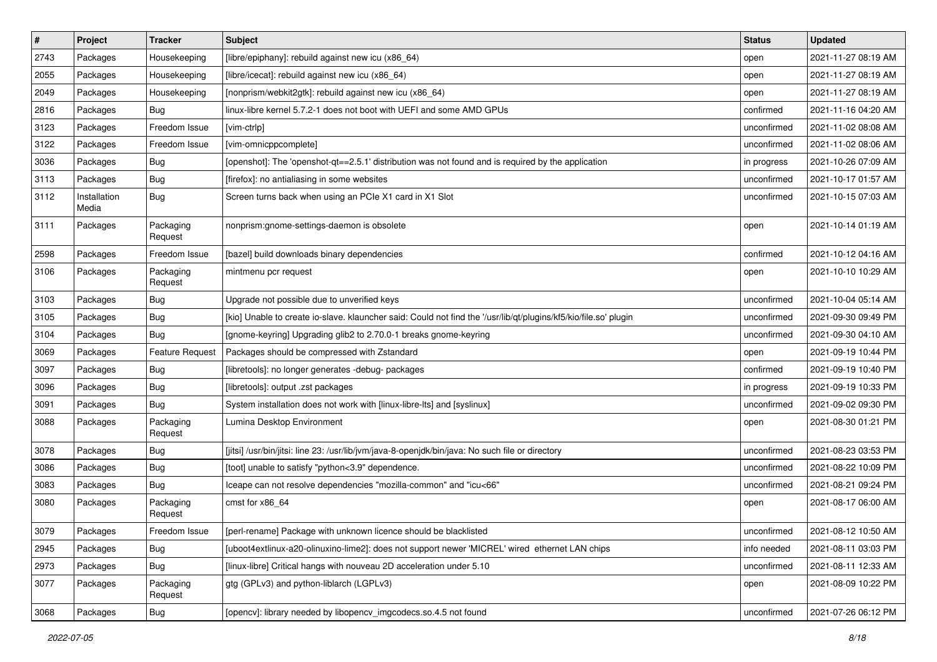| $\#$ | Project               | <b>Tracker</b>         | Subject                                                                                                          | <b>Status</b> | <b>Updated</b>      |
|------|-----------------------|------------------------|------------------------------------------------------------------------------------------------------------------|---------------|---------------------|
| 2743 | Packages              | Housekeeping           | [libre/epiphany]: rebuild against new icu (x86_64)                                                               | open          | 2021-11-27 08:19 AM |
| 2055 | Packages              | Housekeeping           | [libre/icecat]: rebuild against new icu (x86_64)                                                                 | open          | 2021-11-27 08:19 AM |
| 2049 | Packages              | Housekeeping           | [nonprism/webkit2gtk]: rebuild against new icu (x86_64)                                                          | open          | 2021-11-27 08:19 AM |
| 2816 | Packages              | Bug                    | linux-libre kernel 5.7.2-1 does not boot with UEFI and some AMD GPUs                                             | confirmed     | 2021-11-16 04:20 AM |
| 3123 | Packages              | Freedom Issue          | [vim-ctrlp]                                                                                                      | unconfirmed   | 2021-11-02 08:08 AM |
| 3122 | Packages              | Freedom Issue          | [vim-omnicppcomplete]                                                                                            | unconfirmed   | 2021-11-02 08:06 AM |
| 3036 | Packages              | Bug                    | [openshot]: The 'openshot-qt==2.5.1' distribution was not found and is required by the application               | in progress   | 2021-10-26 07:09 AM |
| 3113 | Packages              | Bug                    | [firefox]: no antialiasing in some websites                                                                      | unconfirmed   | 2021-10-17 01:57 AM |
| 3112 | Installation<br>Media | Bug                    | Screen turns back when using an PCIe X1 card in X1 Slot                                                          | unconfirmed   | 2021-10-15 07:03 AM |
| 3111 | Packages              | Packaging<br>Request   | nonprism:gnome-settings-daemon is obsolete                                                                       | open          | 2021-10-14 01:19 AM |
| 2598 | Packages              | Freedom Issue          | [bazel] build downloads binary dependencies                                                                      | confirmed     | 2021-10-12 04:16 AM |
| 3106 | Packages              | Packaging<br>Request   | mintmenu pcr request                                                                                             | open          | 2021-10-10 10:29 AM |
| 3103 | Packages              | Bug                    | Upgrade not possible due to unverified keys                                                                      | unconfirmed   | 2021-10-04 05:14 AM |
| 3105 | Packages              | Bug                    | [kio] Unable to create io-slave. klauncher said: Could not find the '/usr/lib/qt/plugins/kf5/kio/file.so' plugin | unconfirmed   | 2021-09-30 09:49 PM |
| 3104 | Packages              | Bug                    | [gnome-keyring] Upgrading glib2 to 2.70.0-1 breaks gnome-keyring                                                 | unconfirmed   | 2021-09-30 04:10 AM |
| 3069 | Packages              | <b>Feature Request</b> | Packages should be compressed with Zstandard                                                                     | open          | 2021-09-19 10:44 PM |
| 3097 | Packages              | Bug                    | [libretools]: no longer generates -debug- packages                                                               | confirmed     | 2021-09-19 10:40 PM |
| 3096 | Packages              | Bug                    | [libretools]: output .zst packages                                                                               | in progress   | 2021-09-19 10:33 PM |
| 3091 | Packages              | Bug                    | System installation does not work with [linux-libre-lts] and [syslinux]                                          | unconfirmed   | 2021-09-02 09:30 PM |
| 3088 | Packages              | Packaging<br>Request   | Lumina Desktop Environment                                                                                       | open          | 2021-08-30 01:21 PM |
| 3078 | Packages              | <b>Bug</b>             | [jitsi] /usr/bin/jitsi: line 23: /usr/lib/jvm/java-8-openjdk/bin/java: No such file or directory                 | unconfirmed   | 2021-08-23 03:53 PM |
| 3086 | Packages              | Bug                    | [toot] unable to satisfy "python<3.9" dependence.                                                                | unconfirmed   | 2021-08-22 10:09 PM |
| 3083 | Packages              | Bug                    | lceape can not resolve dependencies "mozilla-common" and "icu<66"                                                | unconfirmed   | 2021-08-21 09:24 PM |
| 3080 | Packages              | Packaging<br>Request   | cmst for x86 64                                                                                                  | open          | 2021-08-17 06:00 AM |
| 3079 | Packages              | Freedom Issue          | [perl-rename] Package with unknown licence should be blacklisted                                                 | unconfirmed   | 2021-08-12 10:50 AM |
| 2945 | Packages              | Bug                    | [uboot4extlinux-a20-olinuxino-lime2]: does not support newer 'MICREL' wired ethernet LAN chips                   | info needed   | 2021-08-11 03:03 PM |
| 2973 | Packages              | Bug                    | [linux-libre] Critical hangs with nouveau 2D acceleration under 5.10                                             | unconfirmed   | 2021-08-11 12:33 AM |
| 3077 | Packages              | Packaging<br>Request   | gtg (GPLv3) and python-liblarch (LGPLv3)                                                                         | open          | 2021-08-09 10:22 PM |
| 3068 | Packages              | Bug                    | [opencv]: library needed by libopencv_imgcodecs.so.4.5 not found                                                 | unconfirmed   | 2021-07-26 06:12 PM |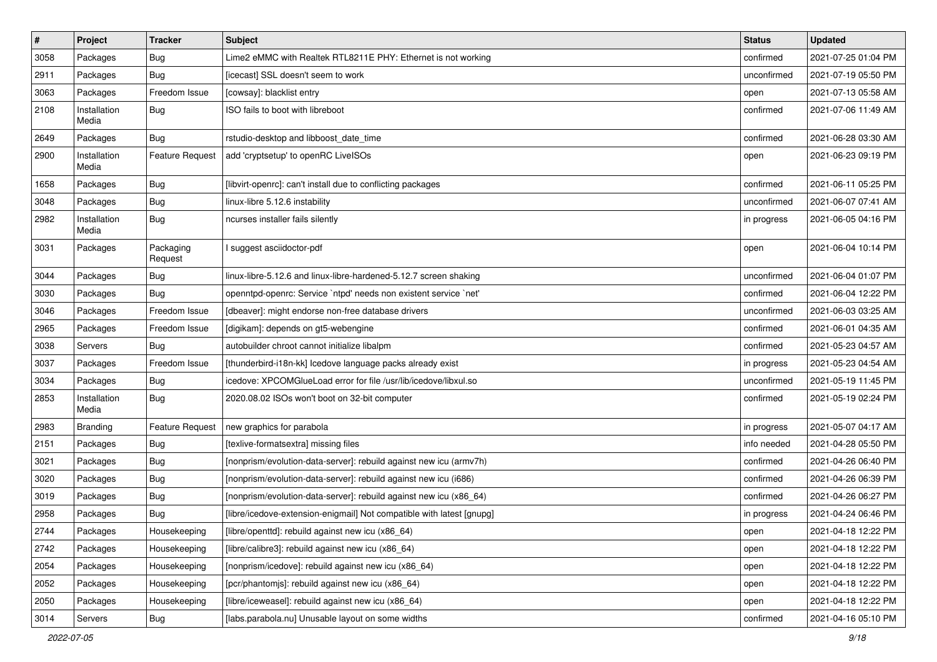| $\vert$ # | Project               | <b>Tracker</b>         | Subject                                                               | <b>Status</b> | <b>Updated</b>      |
|-----------|-----------------------|------------------------|-----------------------------------------------------------------------|---------------|---------------------|
| 3058      | Packages              | <b>Bug</b>             | Lime2 eMMC with Realtek RTL8211E PHY: Ethernet is not working         | confirmed     | 2021-07-25 01:04 PM |
| 2911      | Packages              | <b>Bug</b>             | [icecast] SSL doesn't seem to work                                    | unconfirmed   | 2021-07-19 05:50 PM |
| 3063      | Packages              | Freedom Issue          | [cowsay]: blacklist entry                                             | open          | 2021-07-13 05:58 AM |
| 2108      | Installation<br>Media | <b>Bug</b>             | ISO fails to boot with libreboot                                      | confirmed     | 2021-07-06 11:49 AM |
| 2649      | Packages              | <b>Bug</b>             | rstudio-desktop and libboost_date_time                                | confirmed     | 2021-06-28 03:30 AM |
| 2900      | Installation<br>Media | <b>Feature Request</b> | add 'cryptsetup' to openRC LiveISOs                                   | open          | 2021-06-23 09:19 PM |
| 1658      | Packages              | Bug                    | [libvirt-openrc]: can't install due to conflicting packages           | confirmed     | 2021-06-11 05:25 PM |
| 3048      | Packages              | Bug                    | linux-libre 5.12.6 instability                                        | unconfirmed   | 2021-06-07 07:41 AM |
| 2982      | Installation<br>Media | <b>Bug</b>             | ncurses installer fails silently                                      | in progress   | 2021-06-05 04:16 PM |
| 3031      | Packages              | Packaging<br>Request   | I suggest asciidoctor-pdf                                             | open          | 2021-06-04 10:14 PM |
| 3044      | Packages              | <b>Bug</b>             | linux-libre-5.12.6 and linux-libre-hardened-5.12.7 screen shaking     | unconfirmed   | 2021-06-04 01:07 PM |
| 3030      | Packages              | Bug                    | openntpd-openrc: Service `ntpd' needs non existent service `net'      | confirmed     | 2021-06-04 12:22 PM |
| 3046      | Packages              | Freedom Issue          | [dbeaver]: might endorse non-free database drivers                    | unconfirmed   | 2021-06-03 03:25 AM |
| 2965      | Packages              | Freedom Issue          | [digikam]: depends on gt5-webengine                                   | confirmed     | 2021-06-01 04:35 AM |
| 3038      | <b>Servers</b>        | Bug                    | autobuilder chroot cannot initialize libalpm                          | confirmed     | 2021-05-23 04:57 AM |
| 3037      | Packages              | Freedom Issue          | [thunderbird-i18n-kk] Icedove language packs already exist            | in progress   | 2021-05-23 04:54 AM |
| 3034      | Packages              | <b>Bug</b>             | icedove: XPCOMGlueLoad error for file /usr/lib/icedove/libxul.so      | unconfirmed   | 2021-05-19 11:45 PM |
| 2853      | Installation<br>Media | Bug                    | 2020.08.02 ISOs won't boot on 32-bit computer                         | confirmed     | 2021-05-19 02:24 PM |
| 2983      | <b>Branding</b>       | Feature Request        | new graphics for parabola                                             | in progress   | 2021-05-07 04:17 AM |
| 2151      | Packages              | <b>Bug</b>             | [texlive-formatsextra] missing files                                  | info needed   | 2021-04-28 05:50 PM |
| 3021      | Packages              | <b>Bug</b>             | [nonprism/evolution-data-server]: rebuild against new icu (armv7h)    | confirmed     | 2021-04-26 06:40 PM |
| 3020      | Packages              | Bug                    | [nonprism/evolution-data-server]: rebuild against new icu (i686)      | confirmed     | 2021-04-26 06:39 PM |
| 3019      | Packages              | <b>Bug</b>             | [nonprism/evolution-data-server]: rebuild against new icu (x86_64)    | confirmed     | 2021-04-26 06:27 PM |
| 2958      | Packages              | <b>Bug</b>             | [libre/icedove-extension-enigmail] Not compatible with latest [gnupg] | in progress   | 2021-04-24 06:46 PM |
| 2744      | Packages              | Housekeeping           | (libre/openttd): rebuild against new icu (x86 64)                     | open          | 2021-04-18 12:22 PM |
| 2742      | Packages              | Housekeeping           | [libre/calibre3]: rebuild against new icu (x86_64)                    | open          | 2021-04-18 12:22 PM |
| 2054      | Packages              | Housekeeping           | [nonprism/icedove]: rebuild against new icu (x86_64)                  | open          | 2021-04-18 12:22 PM |
| 2052      | Packages              | Housekeeping           | [pcr/phantomis]: rebuild against new icu (x86 64)                     | open          | 2021-04-18 12:22 PM |
| 2050      | Packages              | Housekeeping           | [libre/iceweasel]: rebuild against new icu (x86 64)                   | open          | 2021-04-18 12:22 PM |
| 3014      | Servers               | Bug                    | [labs.parabola.nu] Unusable layout on some widths                     | confirmed     | 2021-04-16 05:10 PM |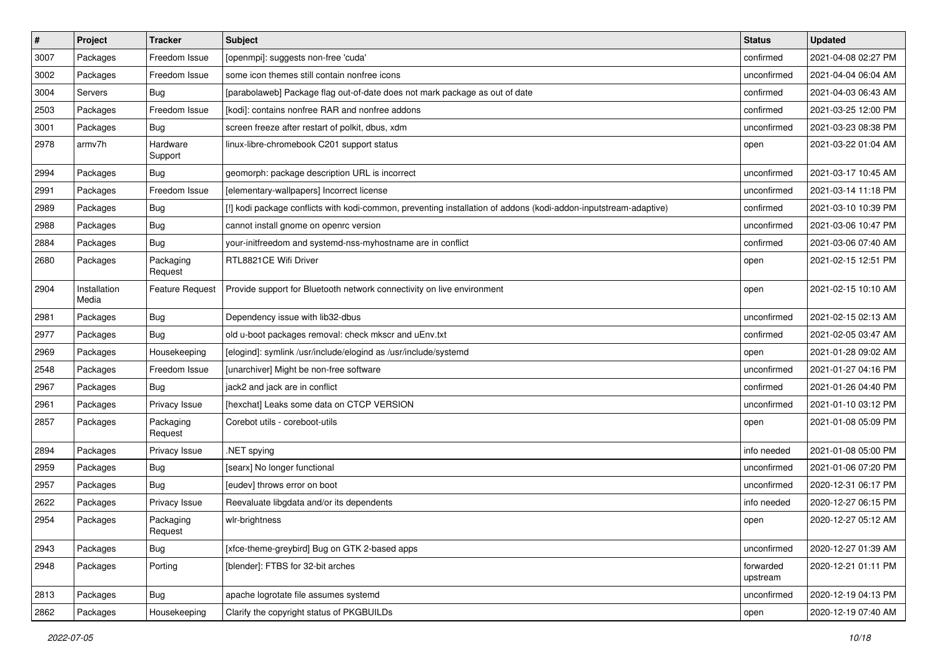| $\pmb{\#}$ | Project               | <b>Tracker</b>         | <b>Subject</b>                                                                                                   | <b>Status</b>         | <b>Updated</b>      |
|------------|-----------------------|------------------------|------------------------------------------------------------------------------------------------------------------|-----------------------|---------------------|
| 3007       | Packages              | Freedom Issue          | [openmpi]: suggests non-free 'cuda'                                                                              | confirmed             | 2021-04-08 02:27 PM |
| 3002       | Packages              | Freedom Issue          | some icon themes still contain nonfree icons                                                                     | unconfirmed           | 2021-04-04 06:04 AM |
| 3004       | Servers               | Bug                    | [parabolaweb] Package flag out-of-date does not mark package as out of date                                      | confirmed             | 2021-04-03 06:43 AM |
| 2503       | Packages              | Freedom Issue          | [kodi]: contains nonfree RAR and nonfree addons                                                                  | confirmed             | 2021-03-25 12:00 PM |
| 3001       | Packages              | Bug                    | screen freeze after restart of polkit, dbus, xdm                                                                 | unconfirmed           | 2021-03-23 08:38 PM |
| 2978       | armv7h                | Hardware<br>Support    | linux-libre-chromebook C201 support status                                                                       | open                  | 2021-03-22 01:04 AM |
| 2994       | Packages              | Bug                    | geomorph: package description URL is incorrect                                                                   | unconfirmed           | 2021-03-17 10:45 AM |
| 2991       | Packages              | Freedom Issue          | [elementary-wallpapers] Incorrect license                                                                        | unconfirmed           | 2021-03-14 11:18 PM |
| 2989       | Packages              | Bug                    | [!] kodi package conflicts with kodi-common, preventing installation of addons (kodi-addon-inputstream-adaptive) | confirmed             | 2021-03-10 10:39 PM |
| 2988       | Packages              | Bug                    | cannot install gnome on openrc version                                                                           | unconfirmed           | 2021-03-06 10:47 PM |
| 2884       | Packages              | <b>Bug</b>             | your-initfreedom and systemd-nss-myhostname are in conflict                                                      | confirmed             | 2021-03-06 07:40 AM |
| 2680       | Packages              | Packaging<br>Request   | RTL8821CE Wifi Driver                                                                                            | open                  | 2021-02-15 12:51 PM |
| 2904       | Installation<br>Media | <b>Feature Request</b> | Provide support for Bluetooth network connectivity on live environment                                           | open                  | 2021-02-15 10:10 AM |
| 2981       | Packages              | <b>Bug</b>             | Dependency issue with lib32-dbus                                                                                 | unconfirmed           | 2021-02-15 02:13 AM |
| 2977       | Packages              | Bug                    | old u-boot packages removal: check mkscr and uEnv.txt                                                            | confirmed             | 2021-02-05 03:47 AM |
| 2969       | Packages              | Housekeeping           | [elogind]: symlink /usr/include/elogind as /usr/include/systemd                                                  | open                  | 2021-01-28 09:02 AM |
| 2548       | Packages              | Freedom Issue          | [unarchiver] Might be non-free software                                                                          | unconfirmed           | 2021-01-27 04:16 PM |
| 2967       | Packages              | Bug                    | jack2 and jack are in conflict                                                                                   | confirmed             | 2021-01-26 04:40 PM |
| 2961       | Packages              | Privacy Issue          | [hexchat] Leaks some data on CTCP VERSION                                                                        | unconfirmed           | 2021-01-10 03:12 PM |
| 2857       | Packages              | Packaging<br>Request   | Corebot utils - coreboot-utils                                                                                   | open                  | 2021-01-08 05:09 PM |
| 2894       | Packages              | Privacy Issue          | NET spying                                                                                                       | info needed           | 2021-01-08 05:00 PM |
| 2959       | Packages              | Bug                    | [searx] No longer functional                                                                                     | unconfirmed           | 2021-01-06 07:20 PM |
| 2957       | Packages              | Bug                    | [eudev] throws error on boot                                                                                     | unconfirmed           | 2020-12-31 06:17 PM |
| 2622       | Packages              | Privacy Issue          | Reevaluate libgdata and/or its dependents                                                                        | info needed           | 2020-12-27 06:15 PM |
| 2954       | Packages              | Packaging<br>Request   | wlr-brightness                                                                                                   | open                  | 2020-12-27 05:12 AM |
| 2943       | Packages              | <b>Bug</b>             | [xfce-theme-greybird] Bug on GTK 2-based apps                                                                    | unconfirmed           | 2020-12-27 01:39 AM |
| 2948       | Packages              | Porting                | [blender]: FTBS for 32-bit arches                                                                                | forwarded<br>upstream | 2020-12-21 01:11 PM |
| 2813       | Packages              | <b>Bug</b>             | apache logrotate file assumes systemd                                                                            | unconfirmed           | 2020-12-19 04:13 PM |
| 2862       | Packages              | Housekeeping           | Clarify the copyright status of PKGBUILDs                                                                        | open                  | 2020-12-19 07:40 AM |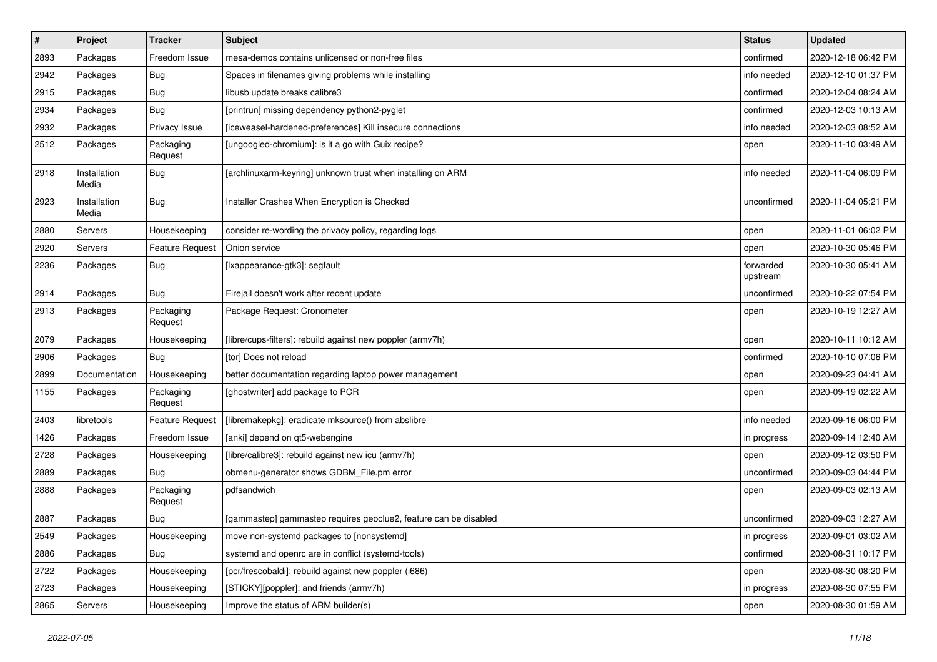| $\#$ | Project               | <b>Tracker</b>         | Subject                                                          | <b>Status</b>         | <b>Updated</b>      |
|------|-----------------------|------------------------|------------------------------------------------------------------|-----------------------|---------------------|
| 2893 | Packages              | Freedom Issue          | mesa-demos contains unlicensed or non-free files                 | confirmed             | 2020-12-18 06:42 PM |
| 2942 | Packages              | Bug                    | Spaces in filenames giving problems while installing             | info needed           | 2020-12-10 01:37 PM |
| 2915 | Packages              | Bug                    | libusb update breaks calibre3                                    | confirmed             | 2020-12-04 08:24 AM |
| 2934 | Packages              | Bug                    | [printrun] missing dependency python2-pyglet                     | confirmed             | 2020-12-03 10:13 AM |
| 2932 | Packages              | Privacy Issue          | [iceweasel-hardened-preferences] Kill insecure connections       | info needed           | 2020-12-03 08:52 AM |
| 2512 | Packages              | Packaging<br>Request   | [ungoogled-chromium]: is it a go with Guix recipe?               | open                  | 2020-11-10 03:49 AM |
| 2918 | Installation<br>Media | Bug                    | [archlinuxarm-keyring] unknown trust when installing on ARM      | info needed           | 2020-11-04 06:09 PM |
| 2923 | Installation<br>Media | Bug                    | Installer Crashes When Encryption is Checked                     | unconfirmed           | 2020-11-04 05:21 PM |
| 2880 | Servers               | Housekeeping           | consider re-wording the privacy policy, regarding logs           | open                  | 2020-11-01 06:02 PM |
| 2920 | Servers               | <b>Feature Request</b> | Onion service                                                    | open                  | 2020-10-30 05:46 PM |
| 2236 | Packages              | Bug                    | [Ixappearance-gtk3]: segfault                                    | forwarded<br>upstream | 2020-10-30 05:41 AM |
| 2914 | Packages              | Bug                    | Firejail doesn't work after recent update                        | unconfirmed           | 2020-10-22 07:54 PM |
| 2913 | Packages              | Packaging<br>Request   | Package Request: Cronometer                                      | open                  | 2020-10-19 12:27 AM |
| 2079 | Packages              | Housekeeping           | [libre/cups-filters]: rebuild against new poppler (armv7h)       | open                  | 2020-10-11 10:12 AM |
| 2906 | Packages              | Bug                    | [tor] Does not reload                                            | confirmed             | 2020-10-10 07:06 PM |
| 2899 | Documentation         | Housekeeping           | better documentation regarding laptop power management           | open                  | 2020-09-23 04:41 AM |
| 1155 | Packages              | Packaging<br>Request   | [ghostwriter] add package to PCR                                 | open                  | 2020-09-19 02:22 AM |
| 2403 | libretools            | <b>Feature Request</b> | [libremakepkg]: eradicate mksource() from abslibre               | info needed           | 2020-09-16 06:00 PM |
| 1426 | Packages              | Freedom Issue          | [anki] depend on qt5-webengine                                   | in progress           | 2020-09-14 12:40 AM |
| 2728 | Packages              | Housekeeping           | [libre/calibre3]: rebuild against new icu (armv7h)               | open                  | 2020-09-12 03:50 PM |
| 2889 | Packages              | Bug                    | obmenu-generator shows GDBM_File.pm error                        | unconfirmed           | 2020-09-03 04:44 PM |
| 2888 | Packages              | Packaging<br>Request   | pdfsandwich                                                      | open                  | 2020-09-03 02:13 AM |
| 2887 | Packages              | Bug                    | [gammastep] gammastep requires geoclue2, feature can be disabled | unconfirmed           | 2020-09-03 12:27 AM |
| 2549 | Packages              | Housekeeping           | move non-systemd packages to [nonsystemd]                        | in progress           | 2020-09-01 03:02 AM |
| 2886 | Packages              | Bug                    | systemd and openrc are in conflict (systemd-tools)               | confirmed             | 2020-08-31 10:17 PM |
| 2722 | Packages              | Housekeeping           | [pcr/frescobaldi]: rebuild against new poppler (i686)            | open                  | 2020-08-30 08:20 PM |
| 2723 | Packages              | Housekeeping           | [STICKY][poppler]: and friends (armv7h)                          | in progress           | 2020-08-30 07:55 PM |
| 2865 | Servers               | Housekeeping           | Improve the status of ARM builder(s)                             | open                  | 2020-08-30 01:59 AM |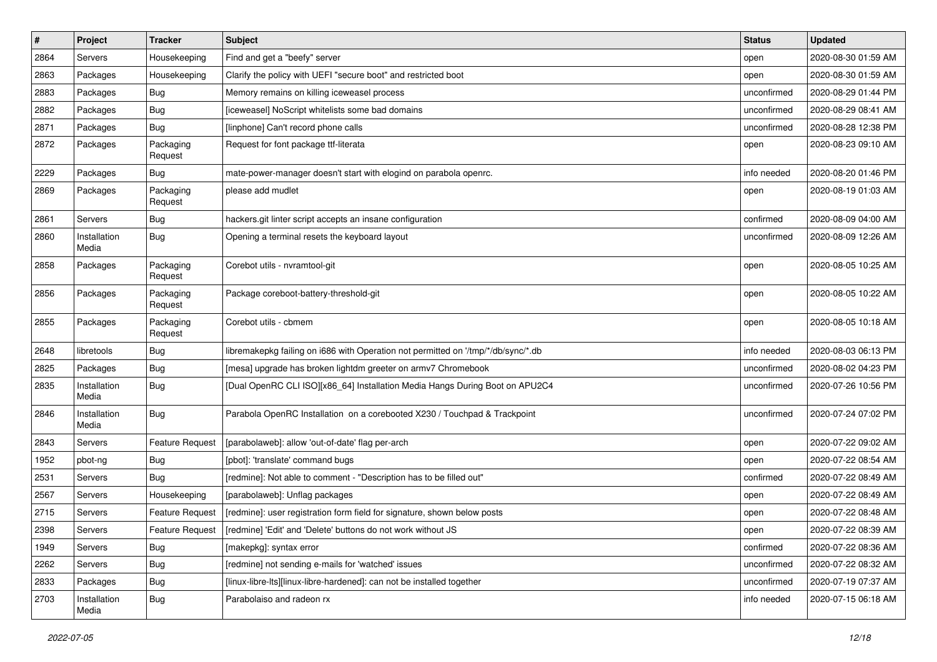| #    | Project               | <b>Tracker</b>         | <b>Subject</b>                                                                    | <b>Status</b> | <b>Updated</b>      |
|------|-----------------------|------------------------|-----------------------------------------------------------------------------------|---------------|---------------------|
| 2864 | Servers               | Housekeeping           | Find and get a "beefy" server                                                     | open          | 2020-08-30 01:59 AM |
| 2863 | Packages              | Housekeeping           | Clarify the policy with UEFI "secure boot" and restricted boot                    | open          | 2020-08-30 01:59 AM |
| 2883 | Packages              | Bug                    | Memory remains on killing iceweasel process                                       | unconfirmed   | 2020-08-29 01:44 PM |
| 2882 | Packages              | Bug                    | [iceweasel] NoScript whitelists some bad domains                                  | unconfirmed   | 2020-08-29 08:41 AM |
| 2871 | Packages              | Bug                    | [linphone] Can't record phone calls                                               | unconfirmed   | 2020-08-28 12:38 PM |
| 2872 | Packages              | Packaging<br>Request   | Request for font package ttf-literata                                             | open          | 2020-08-23 09:10 AM |
| 2229 | Packages              | Bug                    | mate-power-manager doesn't start with elogind on parabola openrc.                 | info needed   | 2020-08-20 01:46 PM |
| 2869 | Packages              | Packaging<br>Request   | please add mudlet                                                                 | open          | 2020-08-19 01:03 AM |
| 2861 | Servers               | Bug                    | hackers.git linter script accepts an insane configuration                         | confirmed     | 2020-08-09 04:00 AM |
| 2860 | Installation<br>Media | Bug                    | Opening a terminal resets the keyboard layout                                     | unconfirmed   | 2020-08-09 12:26 AM |
| 2858 | Packages              | Packaging<br>Request   | Corebot utils - nvramtool-git                                                     | open          | 2020-08-05 10:25 AM |
| 2856 | Packages              | Packaging<br>Request   | Package coreboot-battery-threshold-git                                            | open          | 2020-08-05 10:22 AM |
| 2855 | Packages              | Packaging<br>Request   | Corebot utils - cbmem                                                             | open          | 2020-08-05 10:18 AM |
| 2648 | libretools            | Bug                    | libremakepkg failing on i686 with Operation not permitted on '/tmp/*/db/sync/*.db | info needed   | 2020-08-03 06:13 PM |
| 2825 | Packages              | Bug                    | [mesa] upgrade has broken lightdm greeter on armv7 Chromebook                     | unconfirmed   | 2020-08-02 04:23 PM |
| 2835 | Installation<br>Media | Bug                    | [Dual OpenRC CLI ISO][x86_64] Installation Media Hangs During Boot on APU2C4      | unconfirmed   | 2020-07-26 10:56 PM |
| 2846 | Installation<br>Media | Bug                    | Parabola OpenRC Installation on a corebooted X230 / Touchpad & Trackpoint         | unconfirmed   | 2020-07-24 07:02 PM |
| 2843 | Servers               | <b>Feature Request</b> | [parabolaweb]: allow 'out-of-date' flag per-arch                                  | open          | 2020-07-22 09:02 AM |
| 1952 | pbot-ng               | Bug                    | [pbot]: 'translate' command bugs                                                  | open          | 2020-07-22 08:54 AM |
| 2531 | Servers               | Bug                    | [redmine]: Not able to comment - "Description has to be filled out"               | confirmed     | 2020-07-22 08:49 AM |
| 2567 | Servers               | Housekeeping           | [parabolaweb]: Unflag packages                                                    | open          | 2020-07-22 08:49 AM |
| 2715 | Servers               | <b>Feature Request</b> | [redmine]: user registration form field for signature, shown below posts          | open          | 2020-07-22 08:48 AM |
| 2398 | Servers               |                        | Feature Request   [redmine] 'Edit' and 'Delete' buttons do not work without JS    | open          | 2020-07-22 08:39 AM |
| 1949 | Servers               | Bug                    | [makepkg]: syntax error                                                           | confirmed     | 2020-07-22 08:36 AM |
| 2262 | Servers               | <b>Bug</b>             | [redmine] not sending e-mails for 'watched' issues                                | unconfirmed   | 2020-07-22 08:32 AM |
| 2833 | Packages              | <b>Bug</b>             | [linux-libre-lts][linux-libre-hardened]: can not be installed together            | unconfirmed   | 2020-07-19 07:37 AM |
| 2703 | Installation<br>Media | Bug                    | Parabolaiso and radeon rx                                                         | info needed   | 2020-07-15 06:18 AM |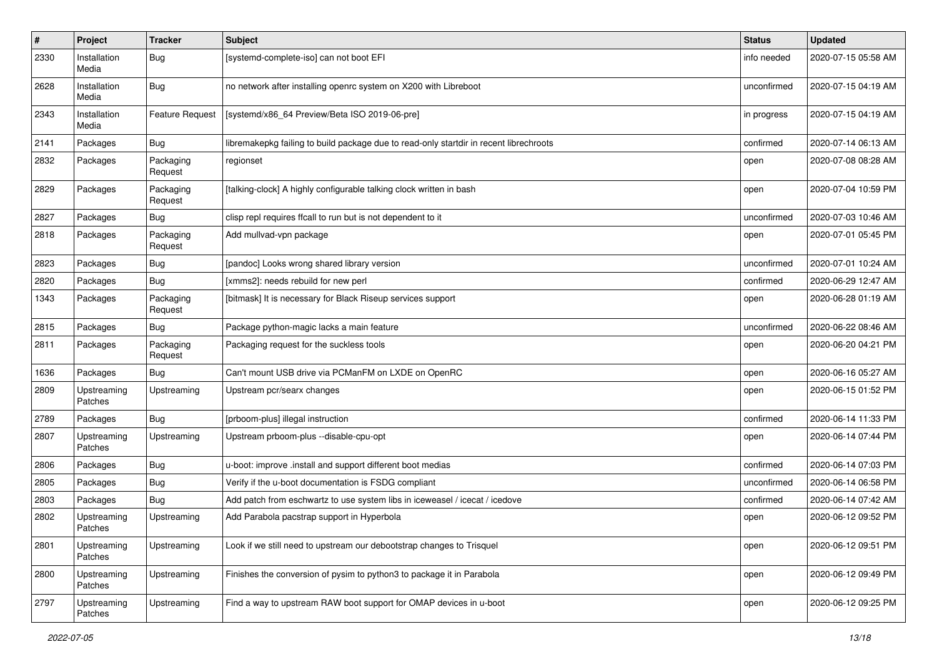| $\#$ | Project                | <b>Tracker</b>         | <b>Subject</b>                                                                         | <b>Status</b> | <b>Updated</b>      |
|------|------------------------|------------------------|----------------------------------------------------------------------------------------|---------------|---------------------|
| 2330 | Installation<br>Media  | <b>Bug</b>             | [systemd-complete-iso] can not boot EFI                                                | info needed   | 2020-07-15 05:58 AM |
| 2628 | Installation<br>Media  | Bug                    | no network after installing openrc system on X200 with Libreboot                       | unconfirmed   | 2020-07-15 04:19 AM |
| 2343 | Installation<br>Media  | <b>Feature Request</b> | [systemd/x86_64 Preview/Beta ISO 2019-06-pre]                                          | in progress   | 2020-07-15 04:19 AM |
| 2141 | Packages               | Bug                    | libremakepkg failing to build package due to read-only startdir in recent librechroots | confirmed     | 2020-07-14 06:13 AM |
| 2832 | Packages               | Packaging<br>Request   | regionset                                                                              | open          | 2020-07-08 08:28 AM |
| 2829 | Packages               | Packaging<br>Request   | [talking-clock] A highly configurable talking clock written in bash                    | open          | 2020-07-04 10:59 PM |
| 2827 | Packages               | <b>Bug</b>             | clisp repl requires ffcall to run but is not dependent to it                           | unconfirmed   | 2020-07-03 10:46 AM |
| 2818 | Packages               | Packaging<br>Request   | Add mullvad-vpn package                                                                | open          | 2020-07-01 05:45 PM |
| 2823 | Packages               | <b>Bug</b>             | [pandoc] Looks wrong shared library version                                            | unconfirmed   | 2020-07-01 10:24 AM |
| 2820 | Packages               | Bug                    | [xmms2]: needs rebuild for new perl                                                    | confirmed     | 2020-06-29 12:47 AM |
| 1343 | Packages               | Packaging<br>Request   | [bitmask] It is necessary for Black Riseup services support                            | open          | 2020-06-28 01:19 AM |
| 2815 | Packages               | Bug                    | Package python-magic lacks a main feature                                              | unconfirmed   | 2020-06-22 08:46 AM |
| 2811 | Packages               | Packaging<br>Request   | Packaging request for the suckless tools                                               | open          | 2020-06-20 04:21 PM |
| 1636 | Packages               | Bug                    | Can't mount USB drive via PCManFM on LXDE on OpenRC                                    | open          | 2020-06-16 05:27 AM |
| 2809 | Upstreaming<br>Patches | Upstreaming            | Upstream pcr/searx changes                                                             | open          | 2020-06-15 01:52 PM |
| 2789 | Packages               | Bug                    | [prboom-plus] illegal instruction                                                      | confirmed     | 2020-06-14 11:33 PM |
| 2807 | Upstreaming<br>Patches | Upstreaming            | Upstream prboom-plus --disable-cpu-opt                                                 | open          | 2020-06-14 07:44 PM |
| 2806 | Packages               | Bug                    | u-boot: improve .install and support different boot medias                             | confirmed     | 2020-06-14 07:03 PM |
| 2805 | Packages               | <b>Bug</b>             | Verify if the u-boot documentation is FSDG compliant                                   | unconfirmed   | 2020-06-14 06:58 PM |
| 2803 | Packages               | Bug                    | Add patch from eschwartz to use system libs in iceweasel / icecat / icedove            | confirmed     | 2020-06-14 07:42 AM |
| 2802 | Upstreaming<br>Patches | Upstreaming            | Add Parabola pacstrap support in Hyperbola                                             | open          | 2020-06-12 09:52 PM |
| 2801 | Upstreaming<br>Patches | Upstreaming            | Look if we still need to upstream our debootstrap changes to Trisquel                  | open          | 2020-06-12 09:51 PM |
| 2800 | Upstreaming<br>Patches | Upstreaming            | Finishes the conversion of pysim to python3 to package it in Parabola                  | open          | 2020-06-12 09:49 PM |
| 2797 | Upstreaming<br>Patches | Upstreaming            | Find a way to upstream RAW boot support for OMAP devices in u-boot                     | open          | 2020-06-12 09:25 PM |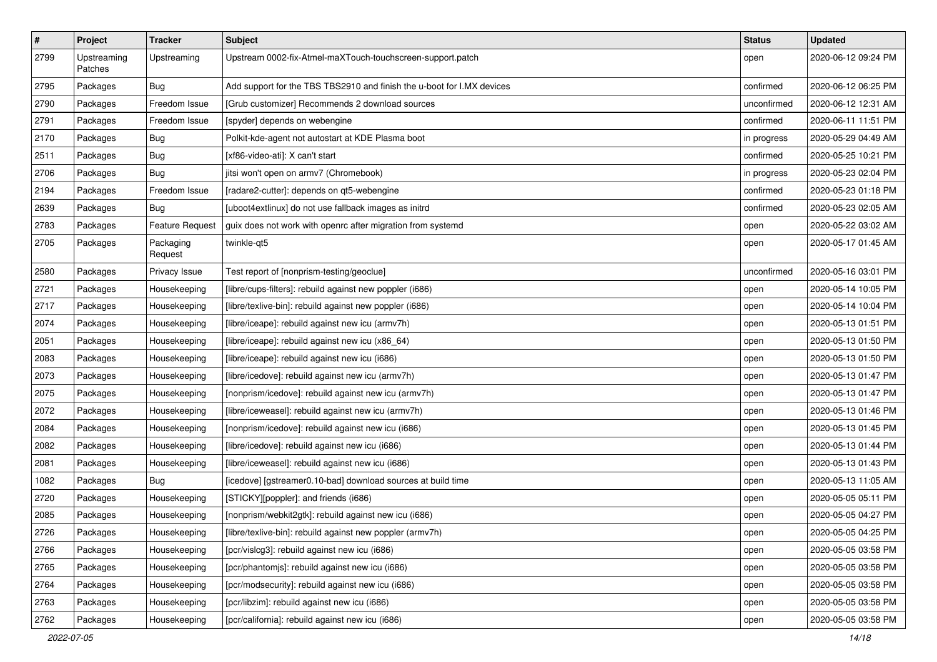| $\vert$ # | Project                | <b>Tracker</b>         | Subject                                                                | <b>Status</b> | <b>Updated</b>      |
|-----------|------------------------|------------------------|------------------------------------------------------------------------|---------------|---------------------|
| 2799      | Upstreaming<br>Patches | Upstreaming            | Upstream 0002-fix-Atmel-maXTouch-touchscreen-support.patch             | open          | 2020-06-12 09:24 PM |
| 2795      | Packages               | Bug                    | Add support for the TBS TBS2910 and finish the u-boot for I.MX devices | confirmed     | 2020-06-12 06:25 PM |
| 2790      | Packages               | Freedom Issue          | [Grub customizer] Recommends 2 download sources                        | unconfirmed   | 2020-06-12 12:31 AM |
| 2791      | Packages               | Freedom Issue          | [spyder] depends on webengine                                          | confirmed     | 2020-06-11 11:51 PM |
| 2170      | Packages               | <b>Bug</b>             | Polkit-kde-agent not autostart at KDE Plasma boot                      | in progress   | 2020-05-29 04:49 AM |
| 2511      | Packages               | <b>Bug</b>             | [xf86-video-ati]: X can't start                                        | confirmed     | 2020-05-25 10:21 PM |
| 2706      | Packages               | Bug                    | jitsi won't open on armv7 (Chromebook)                                 | in progress   | 2020-05-23 02:04 PM |
| 2194      | Packages               | Freedom Issue          | [radare2-cutter]: depends on qt5-webengine                             | confirmed     | 2020-05-23 01:18 PM |
| 2639      | Packages               | Bug                    | [uboot4extlinux] do not use fallback images as initrd                  | confirmed     | 2020-05-23 02:05 AM |
| 2783      | Packages               | <b>Feature Request</b> | guix does not work with openrc after migration from systemd            | open          | 2020-05-22 03:02 AM |
| 2705      | Packages               | Packaging<br>Request   | twinkle-qt5                                                            | open          | 2020-05-17 01:45 AM |
| 2580      | Packages               | Privacy Issue          | Test report of [nonprism-testing/geoclue]                              | unconfirmed   | 2020-05-16 03:01 PM |
| 2721      | Packages               | Housekeeping           | [libre/cups-filters]: rebuild against new poppler (i686)               | open          | 2020-05-14 10:05 PM |
| 2717      | Packages               | Housekeeping           | [libre/texlive-bin]: rebuild against new poppler (i686)                | open          | 2020-05-14 10:04 PM |
| 2074      | Packages               | Housekeeping           | [libre/iceape]: rebuild against new icu (armv7h)                       | open          | 2020-05-13 01:51 PM |
| 2051      | Packages               | Housekeeping           | [libre/iceape]: rebuild against new icu (x86_64)                       | open          | 2020-05-13 01:50 PM |
| 2083      | Packages               | Housekeeping           | [libre/iceape]: rebuild against new icu (i686)                         | open          | 2020-05-13 01:50 PM |
| 2073      | Packages               | Housekeeping           | [libre/icedove]: rebuild against new icu (armv7h)                      | open          | 2020-05-13 01:47 PM |
| 2075      | Packages               | Housekeeping           | [nonprism/icedove]: rebuild against new icu (armv7h)                   | open          | 2020-05-13 01:47 PM |
| 2072      | Packages               | Housekeeping           | [libre/iceweasel]: rebuild against new icu (armv7h)                    | open          | 2020-05-13 01:46 PM |
| 2084      | Packages               | Housekeeping           | [nonprism/icedove]: rebuild against new icu (i686)                     | open          | 2020-05-13 01:45 PM |
| 2082      | Packages               | Housekeeping           | [libre/icedove]: rebuild against new icu (i686)                        | open          | 2020-05-13 01:44 PM |
| 2081      | Packages               | Housekeeping           | [libre/iceweasel]: rebuild against new icu (i686)                      | open          | 2020-05-13 01:43 PM |
| 1082      | Packages               | <b>Bug</b>             | [icedove] [gstreamer0.10-bad] download sources at build time           | open          | 2020-05-13 11:05 AM |
| 2720      | Packages               | Housekeeping           | [STICKY][poppler]: and friends (i686)                                  | open          | 2020-05-05 05:11 PM |
| 2085      | Packages               | Housekeeping           | [nonprism/webkit2gtk]: rebuild against new icu (i686)                  | open          | 2020-05-05 04:27 PM |
| 2726      | Packages               | Housekeeping           | [libre/texlive-bin]: rebuild against new poppler (armv7h)              | open          | 2020-05-05 04:25 PM |
| 2766      | Packages               | Housekeeping           | [pcr/vislcg3]: rebuild against new icu (i686)                          | open          | 2020-05-05 03:58 PM |
| 2765      | Packages               | Housekeeping           | [pcr/phantomjs]: rebuild against new icu (i686)                        | open          | 2020-05-05 03:58 PM |
| 2764      | Packages               | Housekeeping           | [pcr/modsecurity]: rebuild against new icu (i686)                      | open          | 2020-05-05 03:58 PM |
| 2763      | Packages               | Housekeeping           | [pcr/libzim]: rebuild against new icu (i686)                           | open          | 2020-05-05 03:58 PM |
| 2762      | Packages               | Housekeeping           | [pcr/california]: rebuild against new icu (i686)                       | open          | 2020-05-05 03:58 PM |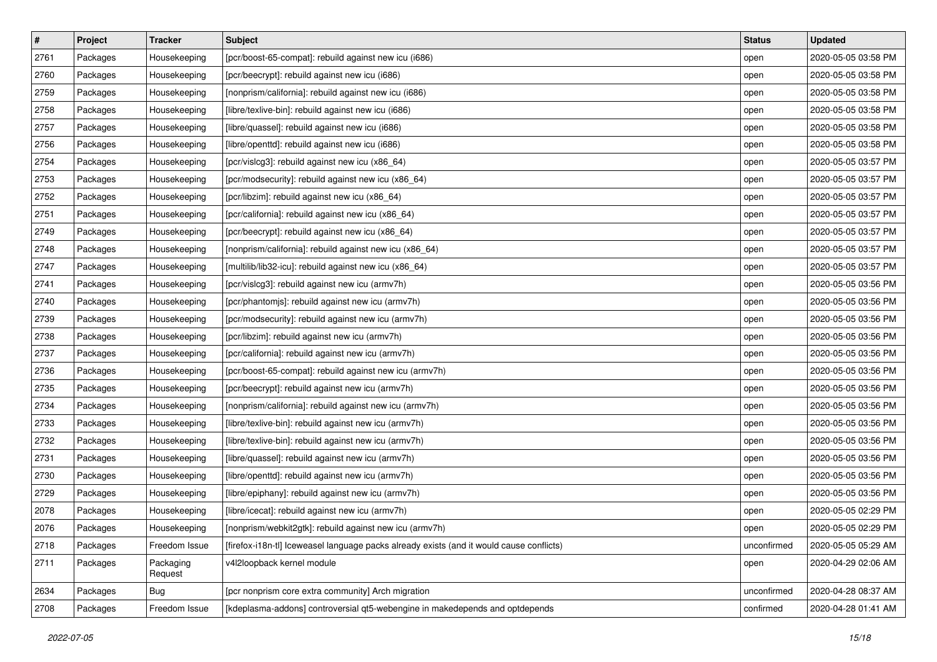| $\#$ | Project  | <b>Tracker</b>       | <b>Subject</b>                                                                           | <b>Status</b> | <b>Updated</b>      |
|------|----------|----------------------|------------------------------------------------------------------------------------------|---------------|---------------------|
| 2761 | Packages | Housekeeping         | [pcr/boost-65-compat]: rebuild against new icu (i686)                                    | open          | 2020-05-05 03:58 PM |
| 2760 | Packages | Housekeeping         | [pcr/beecrypt]: rebuild against new icu (i686)                                           | open          | 2020-05-05 03:58 PM |
| 2759 | Packages | Housekeeping         | [nonprism/california]: rebuild against new icu (i686)                                    | open          | 2020-05-05 03:58 PM |
| 2758 | Packages | Housekeeping         | [libre/texlive-bin]: rebuild against new icu (i686)                                      | open          | 2020-05-05 03:58 PM |
| 2757 | Packages | Housekeeping         | [libre/quassel]: rebuild against new icu (i686)                                          | open          | 2020-05-05 03:58 PM |
| 2756 | Packages | Housekeeping         | [libre/openttd]: rebuild against new icu (i686)                                          | open          | 2020-05-05 03:58 PM |
| 2754 | Packages | Housekeeping         | [pcr/vislcg3]: rebuild against new icu (x86_64)                                          | open          | 2020-05-05 03:57 PM |
| 2753 | Packages | Housekeeping         | [pcr/modsecurity]: rebuild against new icu (x86_64)                                      | open          | 2020-05-05 03:57 PM |
| 2752 | Packages | Housekeeping         | [pcr/libzim]: rebuild against new icu (x86_64)                                           | open          | 2020-05-05 03:57 PM |
| 2751 | Packages | Housekeeping         | [pcr/california]: rebuild against new icu (x86_64)                                       | open          | 2020-05-05 03:57 PM |
| 2749 | Packages | Housekeeping         | [pcr/beecrypt]: rebuild against new icu (x86_64)                                         | open          | 2020-05-05 03:57 PM |
| 2748 | Packages | Housekeeping         | [nonprism/california]: rebuild against new icu (x86_64)                                  | open          | 2020-05-05 03:57 PM |
| 2747 | Packages | Housekeeping         | [multilib/lib32-icu]: rebuild against new icu (x86_64)                                   | open          | 2020-05-05 03:57 PM |
| 2741 | Packages | Housekeeping         | [pcr/vislcg3]: rebuild against new icu (armv7h)                                          | open          | 2020-05-05 03:56 PM |
| 2740 | Packages | Housekeeping         | [pcr/phantomjs]: rebuild against new icu (armv7h)                                        | open          | 2020-05-05 03:56 PM |
| 2739 | Packages | Housekeeping         | [pcr/modsecurity]: rebuild against new icu (armv7h)                                      | open          | 2020-05-05 03:56 PM |
| 2738 | Packages | Housekeeping         | [pcr/libzim]: rebuild against new icu (armv7h)                                           | open          | 2020-05-05 03:56 PM |
| 2737 | Packages | Housekeeping         | [pcr/california]: rebuild against new icu (armv7h)                                       | open          | 2020-05-05 03:56 PM |
| 2736 | Packages | Housekeeping         | [pcr/boost-65-compat]: rebuild against new icu (armv7h)                                  | open          | 2020-05-05 03:56 PM |
| 2735 | Packages | Housekeeping         | [pcr/beecrypt]: rebuild against new icu (armv7h)                                         | open          | 2020-05-05 03:56 PM |
| 2734 | Packages | Housekeeping         | [nonprism/california]: rebuild against new icu (armv7h)                                  | open          | 2020-05-05 03:56 PM |
| 2733 | Packages | Housekeeping         | [libre/texlive-bin]: rebuild against new icu (armv7h)                                    | open          | 2020-05-05 03:56 PM |
| 2732 | Packages | Housekeeping         | [libre/texlive-bin]: rebuild against new icu (armv7h)                                    | open          | 2020-05-05 03:56 PM |
| 2731 | Packages | Housekeeping         | [libre/quassel]: rebuild against new icu (armv7h)                                        | open          | 2020-05-05 03:56 PM |
| 2730 | Packages | Housekeeping         | [libre/openttd]: rebuild against new icu (armv7h)                                        | open          | 2020-05-05 03:56 PM |
| 2729 | Packages | Housekeeping         | [libre/epiphany]: rebuild against new icu (armv7h)                                       | open          | 2020-05-05 03:56 PM |
| 2078 | Packages | Housekeeping         | [libre/icecat]: rebuild against new icu (armv7h)                                         | open          | 2020-05-05 02:29 PM |
| 2076 | Packages | Housekeeping         | [nonprism/webkit2gtk]: rebuild against new icu (armv7h)                                  | open          | 2020-05-05 02:29 PM |
| 2718 | Packages | Freedom Issue        | [firefox-i18n-tl] lceweasel language packs already exists (and it would cause conflicts) | unconfirmed   | 2020-05-05 05:29 AM |
| 2711 | Packages | Packaging<br>Request | v4l2loopback kernel module                                                               | open          | 2020-04-29 02:06 AM |
| 2634 | Packages | <b>Bug</b>           | [pcr nonprism core extra community] Arch migration                                       | unconfirmed   | 2020-04-28 08:37 AM |
| 2708 | Packages | Freedom Issue        | [kdeplasma-addons] controversial qt5-webengine in makedepends and optdepends             | confirmed     | 2020-04-28 01:41 AM |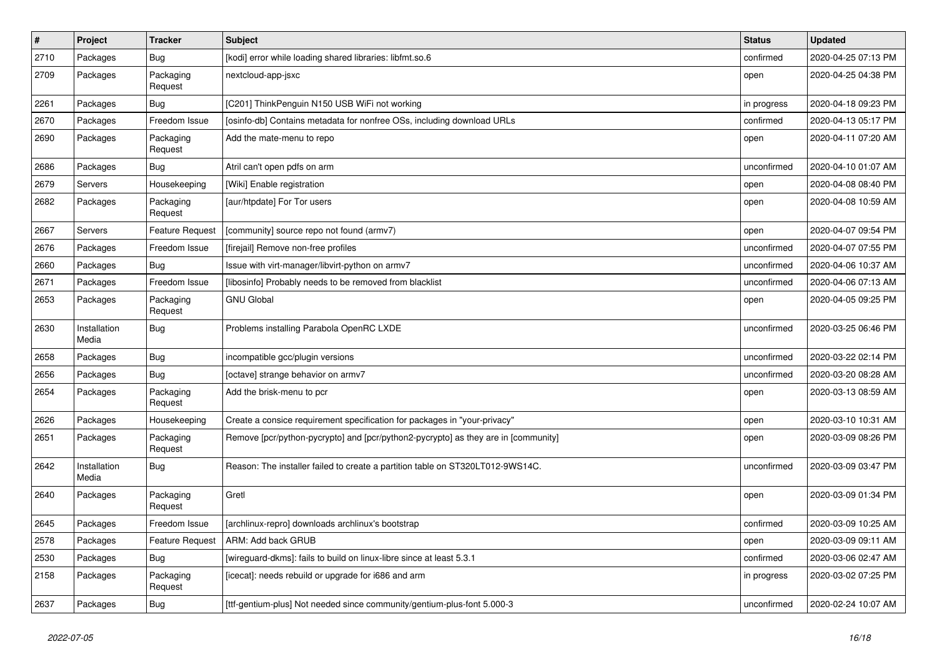| $\pmb{\#}$ | Project               | <b>Tracker</b>         | <b>Subject</b>                                                                     | <b>Status</b> | <b>Updated</b>      |
|------------|-----------------------|------------------------|------------------------------------------------------------------------------------|---------------|---------------------|
| 2710       | Packages              | <b>Bug</b>             | [kodi] error while loading shared libraries: libfmt.so.6                           | confirmed     | 2020-04-25 07:13 PM |
| 2709       | Packages              | Packaging<br>Request   | nextcloud-app-jsxc                                                                 | open          | 2020-04-25 04:38 PM |
| 2261       | Packages              | Bug                    | [C201] ThinkPenguin N150 USB WiFi not working                                      | in progress   | 2020-04-18 09:23 PM |
| 2670       | Packages              | Freedom Issue          | [osinfo-db] Contains metadata for nonfree OSs, including download URLs             | confirmed     | 2020-04-13 05:17 PM |
| 2690       | Packages              | Packaging<br>Request   | Add the mate-menu to repo                                                          | open          | 2020-04-11 07:20 AM |
| 2686       | Packages              | <b>Bug</b>             | Atril can't open pdfs on arm                                                       | unconfirmed   | 2020-04-10 01:07 AM |
| 2679       | Servers               | Housekeeping           | [Wiki] Enable registration                                                         | open          | 2020-04-08 08:40 PM |
| 2682       | Packages              | Packaging<br>Request   | [aur/htpdate] For Tor users                                                        | open          | 2020-04-08 10:59 AM |
| 2667       | Servers               | <b>Feature Request</b> | [community] source repo not found (armv7)                                          | open          | 2020-04-07 09:54 PM |
| 2676       | Packages              | Freedom Issue          | [firejail] Remove non-free profiles                                                | unconfirmed   | 2020-04-07 07:55 PM |
| 2660       | Packages              | Bug                    | Issue with virt-manager/libvirt-python on armv7                                    | unconfirmed   | 2020-04-06 10:37 AM |
| 2671       | Packages              | Freedom Issue          | [libosinfo] Probably needs to be removed from blacklist                            | unconfirmed   | 2020-04-06 07:13 AM |
| 2653       | Packages              | Packaging<br>Request   | <b>GNU Global</b>                                                                  | open          | 2020-04-05 09:25 PM |
| 2630       | Installation<br>Media | <b>Bug</b>             | Problems installing Parabola OpenRC LXDE                                           | unconfirmed   | 2020-03-25 06:46 PM |
| 2658       | Packages              | <b>Bug</b>             | incompatible gcc/plugin versions                                                   | unconfirmed   | 2020-03-22 02:14 PM |
| 2656       | Packages              | Bug                    | [octave] strange behavior on armv7                                                 | unconfirmed   | 2020-03-20 08:28 AM |
| 2654       | Packages              | Packaging<br>Request   | Add the brisk-menu to pcr                                                          | open          | 2020-03-13 08:59 AM |
| 2626       | Packages              | Housekeeping           | Create a consice requirement specification for packages in "your-privacy"          | open          | 2020-03-10 10:31 AM |
| 2651       | Packages              | Packaging<br>Request   | Remove [pcr/python-pycrypto] and [pcr/python2-pycrypto] as they are in [community] | open          | 2020-03-09 08:26 PM |
| 2642       | Installation<br>Media | Bug                    | Reason: The installer failed to create a partition table on ST320LT012-9WS14C.     | unconfirmed   | 2020-03-09 03:47 PM |
| 2640       | Packages              | Packaging<br>Request   | Gretl                                                                              | open          | 2020-03-09 01:34 PM |
| 2645       | Packages              | Freedom Issue          | [archlinux-repro] downloads archlinux's bootstrap                                  | confirmed     | 2020-03-09 10:25 AM |
| 2578       | Packages              | Feature Request        | ARM: Add back GRUB                                                                 | open          | 2020-03-09 09:11 AM |
| 2530       | Packages              | <b>Bug</b>             | [wireguard-dkms]: fails to build on linux-libre since at least 5.3.1               | confirmed     | 2020-03-06 02:47 AM |
| 2158       | Packages              | Packaging<br>Request   | [icecat]: needs rebuild or upgrade for i686 and arm                                | in progress   | 2020-03-02 07:25 PM |
| 2637       | Packages              | i Bug                  | [ttf-gentium-plus] Not needed since community/gentium-plus-font 5.000-3            | unconfirmed   | 2020-02-24 10:07 AM |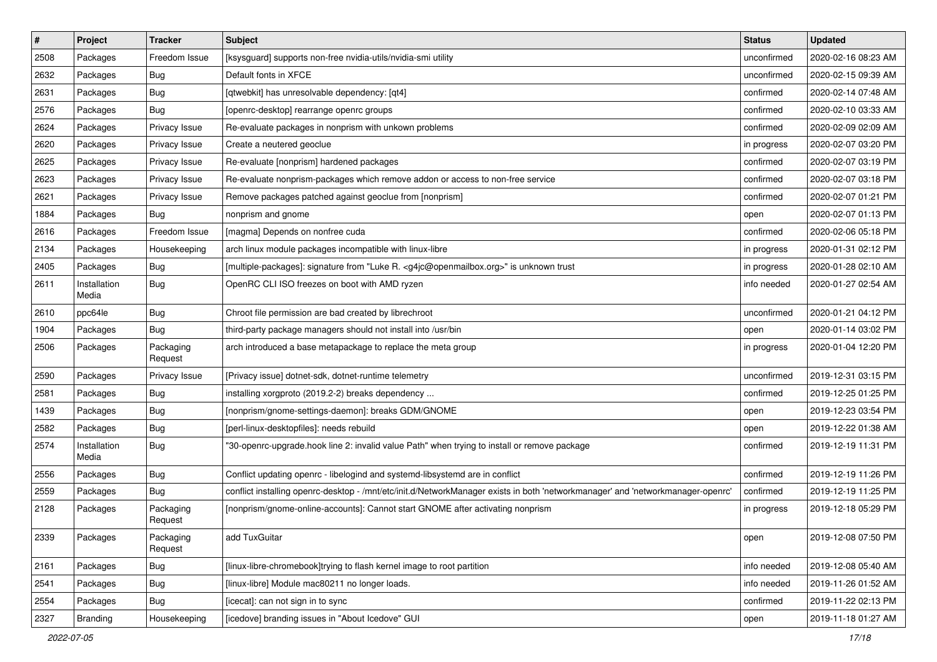| $\vert$ # | Project               | <b>Tracker</b>       | <b>Subject</b>                                                                                                                  | <b>Status</b> | <b>Updated</b>      |
|-----------|-----------------------|----------------------|---------------------------------------------------------------------------------------------------------------------------------|---------------|---------------------|
| 2508      | Packages              | Freedom Issue        | [ksysguard] supports non-free nvidia-utils/nvidia-smi utility                                                                   | unconfirmed   | 2020-02-16 08:23 AM |
| 2632      | Packages              | Bug                  | Default fonts in XFCE                                                                                                           | unconfirmed   | 2020-02-15 09:39 AM |
| 2631      | Packages              | Bug                  | [qtwebkit] has unresolvable dependency: [qt4]                                                                                   | confirmed     | 2020-02-14 07:48 AM |
| 2576      | Packages              | Bug                  | [openrc-desktop] rearrange openrc groups                                                                                        | confirmed     | 2020-02-10 03:33 AM |
| 2624      | Packages              | Privacy Issue        | Re-evaluate packages in nonprism with unkown problems                                                                           | confirmed     | 2020-02-09 02:09 AM |
| 2620      | Packages              | Privacy Issue        | Create a neutered geoclue                                                                                                       | in progress   | 2020-02-07 03:20 PM |
| 2625      | Packages              | Privacy Issue        | Re-evaluate [nonprism] hardened packages                                                                                        | confirmed     | 2020-02-07 03:19 PM |
| 2623      | Packages              | Privacy Issue        | Re-evaluate nonprism-packages which remove addon or access to non-free service                                                  | confirmed     | 2020-02-07 03:18 PM |
| 2621      | Packages              | Privacy Issue        | Remove packages patched against geoclue from [nonprism]                                                                         | confirmed     | 2020-02-07 01:21 PM |
| 1884      | Packages              | Bug                  | nonprism and gnome                                                                                                              | open          | 2020-02-07 01:13 PM |
| 2616      | Packages              | Freedom Issue        | [magma] Depends on nonfree cuda                                                                                                 | confirmed     | 2020-02-06 05:18 PM |
| 2134      | Packages              | Housekeeping         | arch linux module packages incompatible with linux-libre                                                                        | in progress   | 2020-01-31 02:12 PM |
| 2405      | Packages              | Bug                  | [multiple-packages]: signature from "Luke R. <g4jc@openmailbox.org>" is unknown trust</g4jc@openmailbox.org>                    | in progress   | 2020-01-28 02:10 AM |
| 2611      | Installation<br>Media | Bug                  | OpenRC CLI ISO freezes on boot with AMD ryzen                                                                                   | info needed   | 2020-01-27 02:54 AM |
| 2610      | ppc64le               | Bug                  | Chroot file permission are bad created by librechroot                                                                           | unconfirmed   | 2020-01-21 04:12 PM |
| 1904      | Packages              | Bug                  | third-party package managers should not install into /usr/bin                                                                   | open          | 2020-01-14 03:02 PM |
| 2506      | Packages              | Packaging<br>Request | arch introduced a base metapackage to replace the meta group                                                                    | in progress   | 2020-01-04 12:20 PM |
| 2590      | Packages              | Privacy Issue        | [Privacy issue] dotnet-sdk, dotnet-runtime telemetry                                                                            | unconfirmed   | 2019-12-31 03:15 PM |
| 2581      | Packages              | Bug                  | installing xorgproto (2019.2-2) breaks dependency                                                                               | confirmed     | 2019-12-25 01:25 PM |
| 1439      | Packages              | Bug                  | [nonprism/gnome-settings-daemon]: breaks GDM/GNOME                                                                              | open          | 2019-12-23 03:54 PM |
| 2582      | Packages              | <b>Bug</b>           | [perl-linux-desktopfiles]: needs rebuild                                                                                        | open          | 2019-12-22 01:38 AM |
| 2574      | Installation<br>Media | Bug                  | "30-openrc-upgrade.hook line 2: invalid value Path" when trying to install or remove package                                    | confirmed     | 2019-12-19 11:31 PM |
| 2556      | Packages              | Bug                  | Conflict updating openrc - libelogind and systemd-libsystemd are in conflict                                                    | confirmed     | 2019-12-19 11:26 PM |
| 2559      | Packages              | Bug                  | conflict installing openrc-desktop - /mnt/etc/init.d/NetworkManager exists in both 'networkmanager' and 'networkmanager-openrc' | confirmed     | 2019-12-19 11:25 PM |
| 2128      | Packages              | Packaging<br>Request | [nonprism/gnome-online-accounts]: Cannot start GNOME after activating nonprism                                                  | in progress   | 2019-12-18 05:29 PM |
| 2339      | Packages              | Packaging<br>Request | add TuxGuitar                                                                                                                   | open          | 2019-12-08 07:50 PM |
| 2161      | Packages              | Bug                  | [linux-libre-chromebook]trying to flash kernel image to root partition                                                          | info needed   | 2019-12-08 05:40 AM |
| 2541      | Packages              | <b>Bug</b>           | [linux-libre] Module mac80211 no longer loads.                                                                                  | info needed   | 2019-11-26 01:52 AM |
| 2554      | Packages              | Bug                  | ficecatl: can not sign in to sync                                                                                               | confirmed     | 2019-11-22 02:13 PM |
| 2327      | Branding              | Housekeeping         | [icedove] branding issues in "About Icedove" GUI                                                                                | open          | 2019-11-18 01:27 AM |